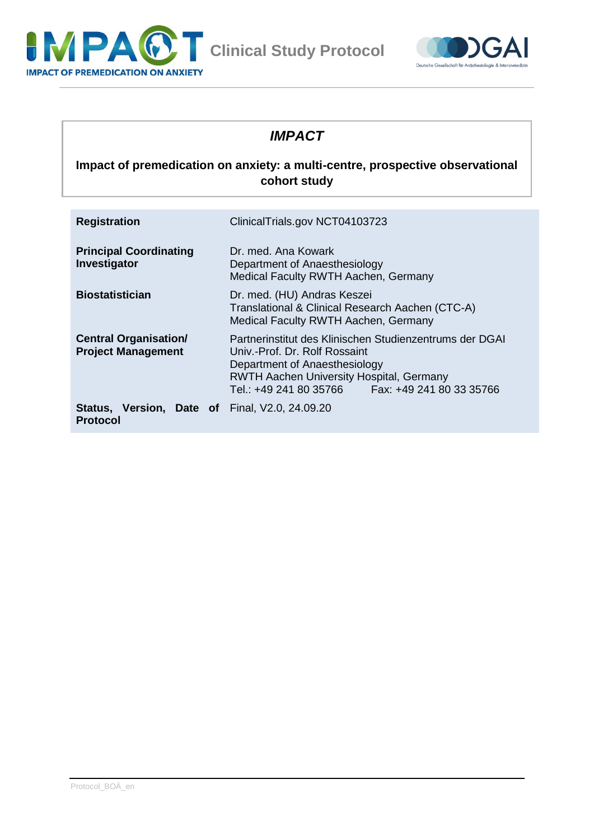



## *IMPACT*

## **Impact of premedication on anxiety: a multi-centre, prospective observational cohort study**

| <b>Registration</b>                                                      | ClinicalTrials.gov NCT04103723                                                                                                                                                                                                     |
|--------------------------------------------------------------------------|------------------------------------------------------------------------------------------------------------------------------------------------------------------------------------------------------------------------------------|
| <b>Principal Coordinating</b><br>Investigator                            | Dr. med. Ana Kowark<br>Department of Anaesthesiology<br>Medical Faculty RWTH Aachen, Germany                                                                                                                                       |
| <b>Biostatistician</b>                                                   | Dr. med. (HU) Andras Keszei<br>Translational & Clinical Research Aachen (CTC-A)<br>Medical Faculty RWTH Aachen, Germany                                                                                                            |
| <b>Central Organisation/</b><br><b>Project Management</b>                | Partnerinstitut des Klinischen Studienzentrums der DGAI<br>Univ - Prof. Dr. Rolf Rossaint<br>Department of Anaesthesiology<br><b>RWTH Aachen University Hospital, Germany</b><br>Tel.: +49 241 80 35766   Fax: +49 241 80 33 35766 |
| <b>Status, Version, Date of Final, V2.0, 24.09.20</b><br><b>Protocol</b> |                                                                                                                                                                                                                                    |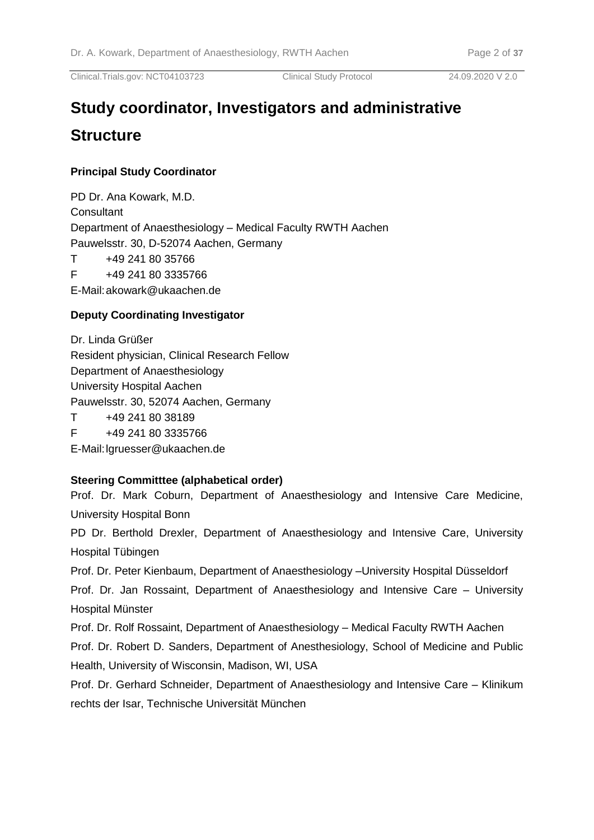# **Study coordinator, Investigators and administrative Structure**

#### **Principal Study Coordinator**

PD Dr. Ana Kowark, M.D. **Consultant** Department of Anaesthesiology – Medical Faculty RWTH Aachen Pauwelsstr. 30, D-52074 Aachen, Germany T +49 241 80 35766 F +49 241 80 3335766

E-Mail:akowark@ukaachen.de

#### **Deputy Coordinating Investigator**

Dr. Linda Grüßer Resident physician, Clinical Research Fellow Department of Anaesthesiology University Hospital Aachen Pauwelsstr. 30, 52074 Aachen, Germany T +49 241 80 38189

F +49 241 80 3335766

E-Mail:lgruesser@ukaachen.de

#### **Steering Committtee (alphabetical order)**

Prof. Dr. Mark Coburn, Department of Anaesthesiology and Intensive Care Medicine, University Hospital Bonn

PD Dr. Berthold Drexler, Department of Anaesthesiology and Intensive Care, University Hospital Tübingen

Prof. Dr. Peter Kienbaum, Department of Anaesthesiology –University Hospital Düsseldorf

Prof. Dr. Jan Rossaint, Department of Anaesthesiology and Intensive Care – University Hospital Münster

Prof. Dr. Rolf Rossaint, Department of Anaesthesiology – Medical Faculty RWTH Aachen

Prof. Dr. Robert D. Sanders, Department of Anesthesiology, School of Medicine and Public Health, University of Wisconsin, Madison, WI, USA

Prof. Dr. Gerhard Schneider, Department of Anaesthesiology and Intensive Care – Klinikum rechts der Isar, Technische Universität München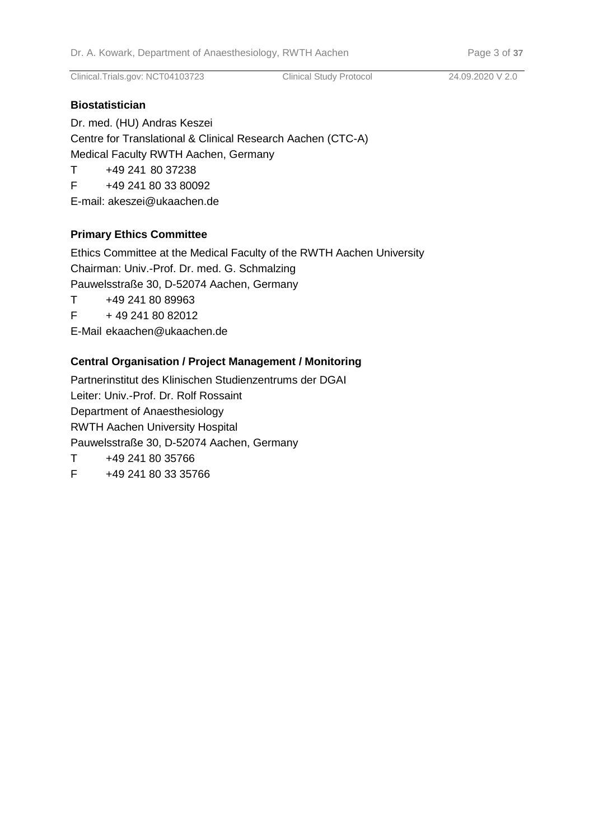#### **Biostatistician**

Dr. med. (HU) Andras Keszei Centre for Translational & Clinical Research Aachen (CTC-A) Medical Faculty RWTH Aachen, Germany T +49 241 80 37238 F +49 241 80 33 80092

E-mail: akeszei@ukaachen.de

## **Primary Ethics Committee**

Ethics Committee at the Medical Faculty of the RWTH Aachen University Chairman: Univ.-Prof. Dr. med. G. Schmalzing Pauwelsstraße 30, D-52074 Aachen, Germany

T +49 241 80 89963

 $F + 492418082012$ 

E-Mail ekaachen@ukaachen.de

## **Central Organisation / Project Management / Monitoring**

Partnerinstitut des Klinischen Studienzentrums der DGAI Leiter: Univ.-Prof. Dr. Rolf Rossaint Department of Anaesthesiology RWTH Aachen University Hospital Pauwelsstraße 30, D-52074 Aachen, Germany T +49 241 80 35766

F +49 241 80 33 35766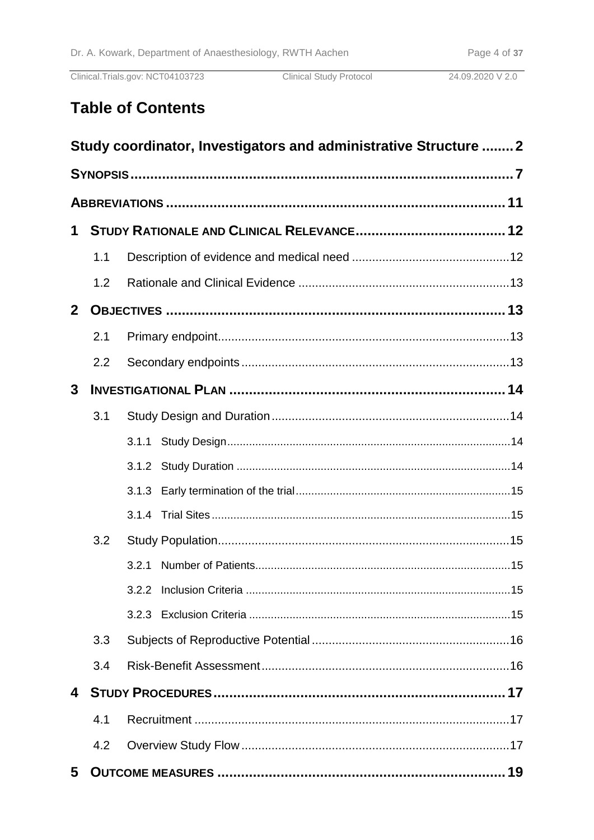Clinical.Trials.gov: NCT04103723

**Clinical Study Protocol** 

# **Table of Contents**

|                         |     | Study coordinator, Investigators and administrative Structure  2 |  |
|-------------------------|-----|------------------------------------------------------------------|--|
|                         |     |                                                                  |  |
|                         |     |                                                                  |  |
| $\mathbf 1$             |     |                                                                  |  |
|                         | 1.1 |                                                                  |  |
|                         | 1.2 |                                                                  |  |
| 2 <sup>1</sup>          |     |                                                                  |  |
|                         | 2.1 |                                                                  |  |
|                         | 2.2 |                                                                  |  |
| $\mathbf{3}$            |     |                                                                  |  |
|                         | 3.1 |                                                                  |  |
|                         |     |                                                                  |  |
|                         |     |                                                                  |  |
|                         |     |                                                                  |  |
|                         |     |                                                                  |  |
|                         | 3.2 |                                                                  |  |
|                         |     |                                                                  |  |
|                         |     |                                                                  |  |
|                         |     |                                                                  |  |
|                         | 3.3 |                                                                  |  |
|                         | 3.4 |                                                                  |  |
| $\overline{\mathbf{4}}$ |     |                                                                  |  |
|                         | 4.1 |                                                                  |  |
|                         | 4.2 |                                                                  |  |
| 5                       |     |                                                                  |  |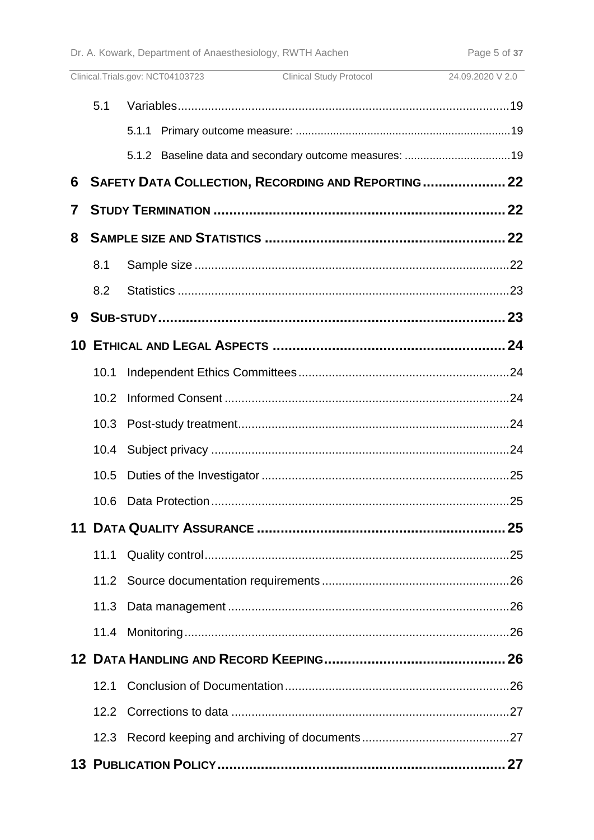|             |      | Clinical Study Protocol 24.09.2020 V 2.0<br>Clinical.Trials.gov: NCT04103723 |  |
|-------------|------|------------------------------------------------------------------------------|--|
|             | 5.1  |                                                                              |  |
|             |      |                                                                              |  |
|             |      |                                                                              |  |
| 6           |      | SAFETY DATA COLLECTION, RECORDING AND REPORTING  22                          |  |
| $\mathbf 7$ |      |                                                                              |  |
| 8           |      |                                                                              |  |
|             | 8.1  |                                                                              |  |
|             | 8.2  |                                                                              |  |
| 9           |      |                                                                              |  |
|             |      |                                                                              |  |
|             | 10.1 |                                                                              |  |
|             | 10.2 |                                                                              |  |
|             |      |                                                                              |  |
|             |      |                                                                              |  |
|             |      |                                                                              |  |
|             | 10.6 |                                                                              |  |
|             |      |                                                                              |  |
|             | 11.1 |                                                                              |  |
|             |      |                                                                              |  |
|             |      |                                                                              |  |
|             |      |                                                                              |  |
|             |      |                                                                              |  |
|             |      |                                                                              |  |
|             |      |                                                                              |  |
|             |      |                                                                              |  |
|             |      |                                                                              |  |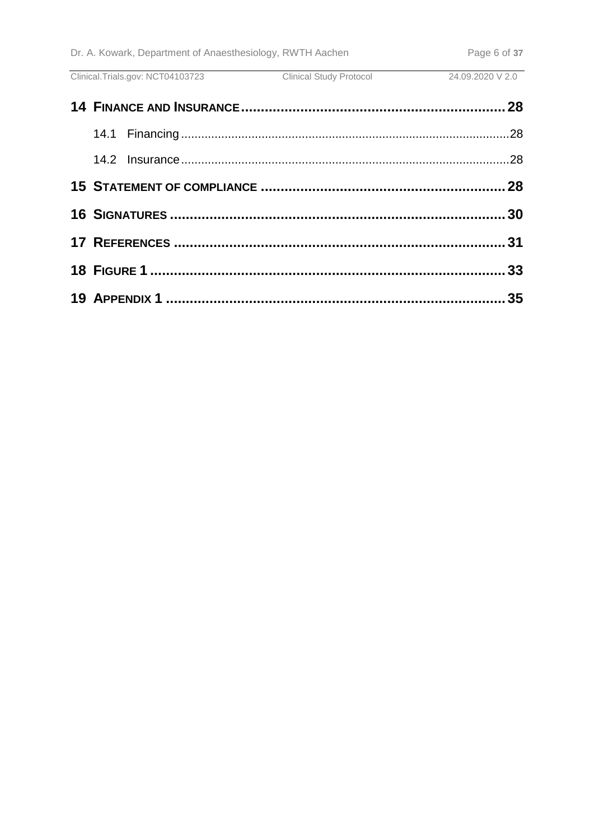Clinical.Trials.gov: NCT04103723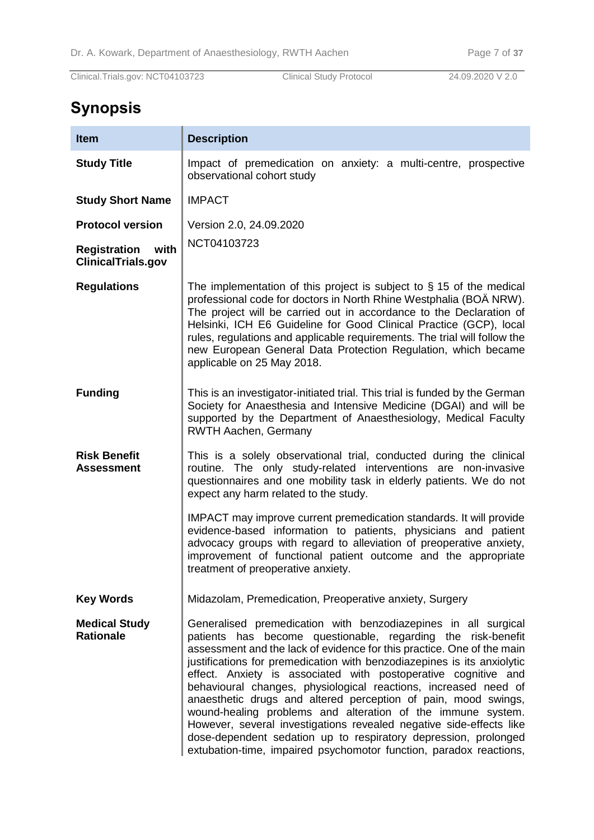# **Synopsis**

| <b>Item</b>                                              | <b>Description</b>                                                                                                                                                                                                                                                                                                                                                                                                                                                                                                                                                                                                                                                                                                                                                        |  |  |  |
|----------------------------------------------------------|---------------------------------------------------------------------------------------------------------------------------------------------------------------------------------------------------------------------------------------------------------------------------------------------------------------------------------------------------------------------------------------------------------------------------------------------------------------------------------------------------------------------------------------------------------------------------------------------------------------------------------------------------------------------------------------------------------------------------------------------------------------------------|--|--|--|
| <b>Study Title</b>                                       | Impact of premedication on anxiety: a multi-centre, prospective<br>observational cohort study                                                                                                                                                                                                                                                                                                                                                                                                                                                                                                                                                                                                                                                                             |  |  |  |
| <b>Study Short Name</b>                                  | <b>IMPACT</b>                                                                                                                                                                                                                                                                                                                                                                                                                                                                                                                                                                                                                                                                                                                                                             |  |  |  |
| <b>Protocol version</b>                                  | Version 2.0, 24.09.2020                                                                                                                                                                                                                                                                                                                                                                                                                                                                                                                                                                                                                                                                                                                                                   |  |  |  |
| <b>Registration</b><br>with<br><b>ClinicalTrials.gov</b> | NCT04103723                                                                                                                                                                                                                                                                                                                                                                                                                                                                                                                                                                                                                                                                                                                                                               |  |  |  |
| <b>Regulations</b>                                       | The implementation of this project is subject to $\S$ 15 of the medical<br>professional code for doctors in North Rhine Westphalia (BOÄ NRW).<br>The project will be carried out in accordance to the Declaration of<br>Helsinki, ICH E6 Guideline for Good Clinical Practice (GCP), local<br>rules, regulations and applicable requirements. The trial will follow the<br>new European General Data Protection Regulation, which became<br>applicable on 25 May 2018.                                                                                                                                                                                                                                                                                                    |  |  |  |
| <b>Funding</b>                                           | This is an investigator-initiated trial. This trial is funded by the German<br>Society for Anaesthesia and Intensive Medicine (DGAI) and will be<br>supported by the Department of Anaesthesiology, Medical Faculty<br><b>RWTH Aachen, Germany</b>                                                                                                                                                                                                                                                                                                                                                                                                                                                                                                                        |  |  |  |
| <b>Risk Benefit</b><br><b>Assessment</b>                 | This is a solely observational trial, conducted during the clinical<br>routine. The only study-related interventions are non-invasive<br>questionnaires and one mobility task in elderly patients. We do not<br>expect any harm related to the study.                                                                                                                                                                                                                                                                                                                                                                                                                                                                                                                     |  |  |  |
|                                                          | IMPACT may improve current premedication standards. It will provide<br>evidence-based information to patients, physicians and patient<br>advocacy groups with regard to alleviation of preoperative anxiety,<br>improvement of functional patient outcome and the appropriate<br>treatment of preoperative anxiety.                                                                                                                                                                                                                                                                                                                                                                                                                                                       |  |  |  |
| <b>Key Words</b>                                         | Midazolam, Premedication, Preoperative anxiety, Surgery                                                                                                                                                                                                                                                                                                                                                                                                                                                                                                                                                                                                                                                                                                                   |  |  |  |
| <b>Medical Study</b><br><b>Rationale</b>                 | Generalised premedication with benzodiazepines in all surgical<br>patients has become questionable, regarding the risk-benefit<br>assessment and the lack of evidence for this practice. One of the main<br>justifications for premedication with benzodiazepines is its anxiolytic<br>effect. Anxiety is associated with postoperative cognitive and<br>behavioural changes, physiological reactions, increased need of<br>anaesthetic drugs and altered perception of pain, mood swings,<br>wound-healing problems and alteration of the immune system.<br>However, several investigations revealed negative side-effects like<br>dose-dependent sedation up to respiratory depression, prolonged<br>extubation-time, impaired psychomotor function, paradox reactions, |  |  |  |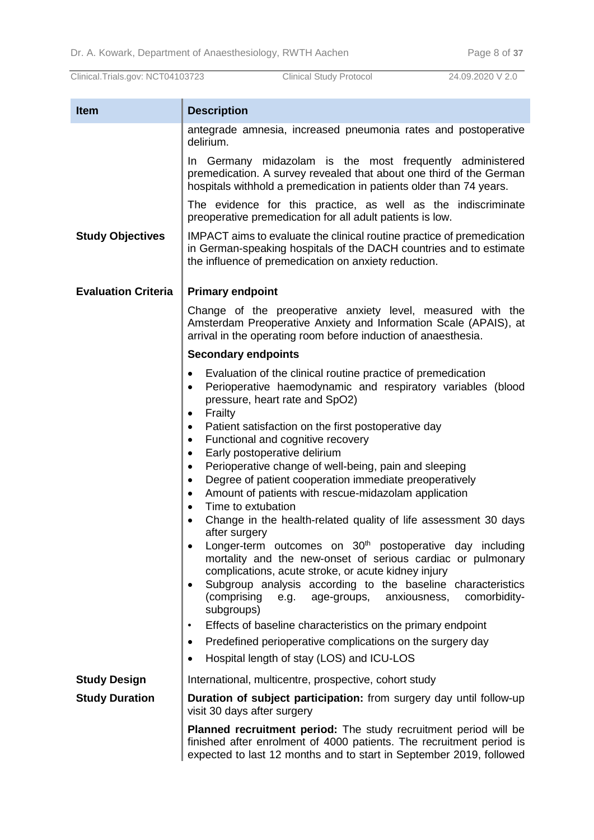| <b>Item</b>                | <b>Description</b>                                                                                                                                                                                                     |  |
|----------------------------|------------------------------------------------------------------------------------------------------------------------------------------------------------------------------------------------------------------------|--|
|                            | antegrade amnesia, increased pneumonia rates and postoperative<br>delirium.                                                                                                                                            |  |
|                            | In Germany midazolam is the most frequently administered<br>premedication. A survey revealed that about one third of the German<br>hospitals withhold a premedication in patients older than 74 years.                 |  |
|                            | The evidence for this practice, as well as the indiscriminate<br>preoperative premedication for all adult patients is low.                                                                                             |  |
| <b>Study Objectives</b>    | IMPACT aims to evaluate the clinical routine practice of premedication<br>in German-speaking hospitals of the DACH countries and to estimate<br>the influence of premedication on anxiety reduction.                   |  |
| <b>Evaluation Criteria</b> | <b>Primary endpoint</b>                                                                                                                                                                                                |  |
|                            | Change of the preoperative anxiety level, measured with the<br>Amsterdam Preoperative Anxiety and Information Scale (APAIS), at<br>arrival in the operating room before induction of anaesthesia.                      |  |
|                            | <b>Secondary endpoints</b>                                                                                                                                                                                             |  |
|                            | Evaluation of the clinical routine practice of premedication<br>٠<br>Perioperative haemodynamic and respiratory variables (blood<br>$\bullet$<br>pressure, heart rate and SpO2)                                        |  |
|                            | Frailty                                                                                                                                                                                                                |  |
|                            | Patient satisfaction on the first postoperative day<br>Functional and cognitive recovery<br>$\bullet$                                                                                                                  |  |
|                            | Early postoperative delirium<br>$\bullet$                                                                                                                                                                              |  |
|                            | Perioperative change of well-being, pain and sleeping<br>٠<br>Degree of patient cooperation immediate preoperatively<br>٠                                                                                              |  |
|                            | Amount of patients with rescue-midazolam application<br>$\bullet$                                                                                                                                                      |  |
|                            | Time to extubation<br>$\bullet$<br>Change in the health-related quality of life assessment 30 days<br>$\bullet$<br>after surgery                                                                                       |  |
|                            | Longer-term outcomes on 30 <sup>th</sup> postoperative day including<br>mortality and the new-onset of serious cardiac or pulmonary<br>complications, acute stroke, or acute kidney injury                             |  |
|                            | Subgroup analysis according to the baseline characteristics<br>٠<br>(comprising<br>anxiousness,<br>comorbidity-<br>age-groups,<br>e.g.<br>subgroups)                                                                   |  |
|                            | Effects of baseline characteristics on the primary endpoint                                                                                                                                                            |  |
|                            | Predefined perioperative complications on the surgery day<br>Hospital length of stay (LOS) and ICU-LOS                                                                                                                 |  |
| <b>Study Design</b>        | International, multicentre, prospective, cohort study                                                                                                                                                                  |  |
| <b>Study Duration</b>      | Duration of subject participation: from surgery day until follow-up<br>visit 30 days after surgery                                                                                                                     |  |
|                            | <b>Planned recruitment period:</b> The study recruitment period will be<br>finished after enrolment of 4000 patients. The recruitment period is<br>expected to last 12 months and to start in September 2019, followed |  |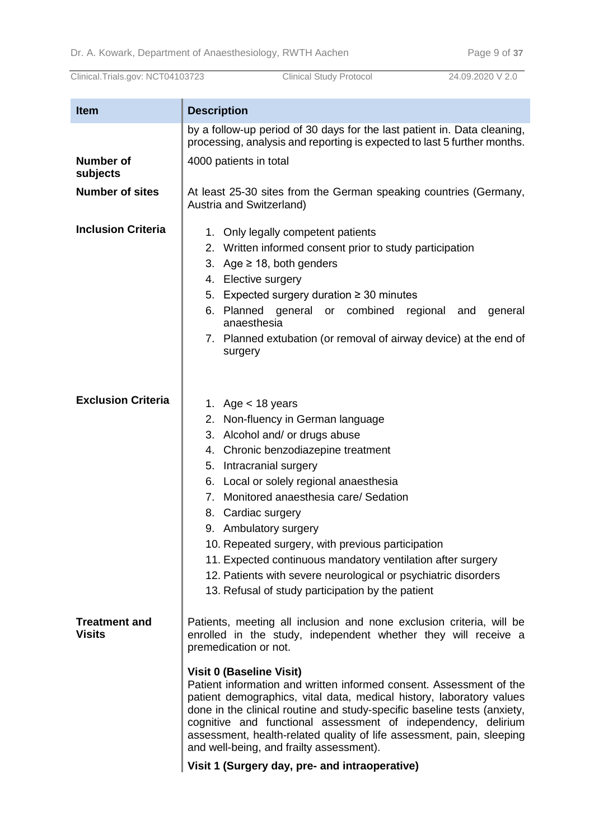| <b>Item</b>                           | <b>Description</b>                                                                                                                                                                                                                                                                                                                                                                                                                                                                                                                                                                                                                                                    |  |
|---------------------------------------|-----------------------------------------------------------------------------------------------------------------------------------------------------------------------------------------------------------------------------------------------------------------------------------------------------------------------------------------------------------------------------------------------------------------------------------------------------------------------------------------------------------------------------------------------------------------------------------------------------------------------------------------------------------------------|--|
|                                       | by a follow-up period of 30 days for the last patient in. Data cleaning,<br>processing, analysis and reporting is expected to last 5 further months.                                                                                                                                                                                                                                                                                                                                                                                                                                                                                                                  |  |
| <b>Number of</b><br>subjects          | 4000 patients in total                                                                                                                                                                                                                                                                                                                                                                                                                                                                                                                                                                                                                                                |  |
| <b>Number of sites</b>                | At least 25-30 sites from the German speaking countries (Germany,<br>Austria and Switzerland)                                                                                                                                                                                                                                                                                                                                                                                                                                                                                                                                                                         |  |
| <b>Inclusion Criteria</b>             | 1. Only legally competent patients<br>2. Written informed consent prior to study participation<br>3. Age $\geq$ 18, both genders<br>4. Elective surgery<br>5. Expected surgery duration ≥ 30 minutes<br>6. Planned general or combined regional<br>and<br>general<br>anaesthesia<br>7. Planned extubation (or removal of airway device) at the end of<br>surgery                                                                                                                                                                                                                                                                                                      |  |
| <b>Exclusion Criteria</b>             | 1. Age $<$ 18 years<br>2. Non-fluency in German language<br>3. Alcohol and/ or drugs abuse<br>4. Chronic benzodiazepine treatment<br>5. Intracranial surgery<br>6. Local or solely regional anaesthesia<br>7. Monitored anaesthesia care/ Sedation<br>8. Cardiac surgery<br>9. Ambulatory surgery<br>10. Repeated surgery, with previous participation<br>11. Expected continuous mandatory ventilation after surgery<br>12. Patients with severe neurological or psychiatric disorders<br>13. Refusal of study participation by the patient                                                                                                                          |  |
| <b>Treatment and</b><br><b>Visits</b> | Patients, meeting all inclusion and none exclusion criteria, will be<br>enrolled in the study, independent whether they will receive a<br>premedication or not.<br><b>Visit 0 (Baseline Visit)</b><br>Patient information and written informed consent. Assessment of the<br>patient demographics, vital data, medical history, laboratory values<br>done in the clinical routine and study-specific baseline tests (anxiety,<br>cognitive and functional assessment of independency, delirium<br>assessment, health-related quality of life assessment, pain, sleeping<br>and well-being, and frailty assessment).<br>Visit 1 (Surgery day, pre- and intraoperative) |  |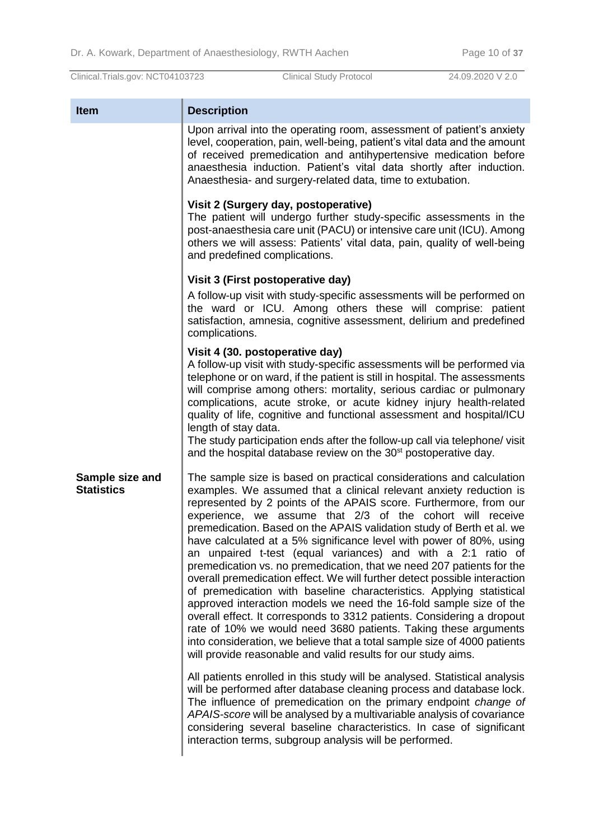| <b>Item</b>                          | <b>Description</b>                                                                                                                                                                                                                                                                                                                                                                                                                                                                                                                                                                                                                                                                                                                                                                                                                                                                                                                                                                                                                                                                         |
|--------------------------------------|--------------------------------------------------------------------------------------------------------------------------------------------------------------------------------------------------------------------------------------------------------------------------------------------------------------------------------------------------------------------------------------------------------------------------------------------------------------------------------------------------------------------------------------------------------------------------------------------------------------------------------------------------------------------------------------------------------------------------------------------------------------------------------------------------------------------------------------------------------------------------------------------------------------------------------------------------------------------------------------------------------------------------------------------------------------------------------------------|
|                                      | Upon arrival into the operating room, assessment of patient's anxiety<br>level, cooperation, pain, well-being, patient's vital data and the amount<br>of received premedication and antihypertensive medication before<br>anaesthesia induction. Patient's vital data shortly after induction.<br>Anaesthesia- and surgery-related data, time to extubation.                                                                                                                                                                                                                                                                                                                                                                                                                                                                                                                                                                                                                                                                                                                               |
|                                      | Visit 2 (Surgery day, postoperative)<br>The patient will undergo further study-specific assessments in the<br>post-anaesthesia care unit (PACU) or intensive care unit (ICU). Among<br>others we will assess: Patients' vital data, pain, quality of well-being<br>and predefined complications.                                                                                                                                                                                                                                                                                                                                                                                                                                                                                                                                                                                                                                                                                                                                                                                           |
|                                      | Visit 3 (First postoperative day)                                                                                                                                                                                                                                                                                                                                                                                                                                                                                                                                                                                                                                                                                                                                                                                                                                                                                                                                                                                                                                                          |
|                                      | A follow-up visit with study-specific assessments will be performed on<br>the ward or ICU. Among others these will comprise: patient<br>satisfaction, amnesia, cognitive assessment, delirium and predefined<br>complications.                                                                                                                                                                                                                                                                                                                                                                                                                                                                                                                                                                                                                                                                                                                                                                                                                                                             |
|                                      | Visit 4 (30. postoperative day)<br>A follow-up visit with study-specific assessments will be performed via<br>telephone or on ward, if the patient is still in hospital. The assessments<br>will comprise among others: mortality, serious cardiac or pulmonary<br>complications, acute stroke, or acute kidney injury health-related<br>quality of life, cognitive and functional assessment and hospital/ICU<br>length of stay data.<br>The study participation ends after the follow-up call via telephone/ visit                                                                                                                                                                                                                                                                                                                                                                                                                                                                                                                                                                       |
|                                      | and the hospital database review on the 30 <sup>st</sup> postoperative day.                                                                                                                                                                                                                                                                                                                                                                                                                                                                                                                                                                                                                                                                                                                                                                                                                                                                                                                                                                                                                |
| Sample size and<br><b>Statistics</b> | The sample size is based on practical considerations and calculation<br>examples. We assumed that a clinical relevant anxiety reduction is<br>represented by 2 points of the APAIS score. Furthermore, from our<br>experience, we assume that 2/3 of the cohort will receive<br>premedication. Based on the APAIS validation study of Berth et al. we<br>have calculated at a 5% significance level with power of 80%, using<br>an unpaired t-test (equal variances) and with a 2:1 ratio of<br>premedication vs. no premedication, that we need 207 patients for the<br>overall premedication effect. We will further detect possible interaction<br>of premedication with baseline characteristics. Applying statistical<br>approved interaction models we need the 16-fold sample size of the<br>overall effect. It corresponds to 3312 patients. Considering a dropout<br>rate of 10% we would need 3680 patients. Taking these arguments<br>into consideration, we believe that a total sample size of 4000 patients<br>will provide reasonable and valid results for our study aims. |
|                                      | All patients enrolled in this study will be analysed. Statistical analysis<br>will be performed after database cleaning process and database lock.<br>The influence of premedication on the primary endpoint change of<br>APAIS-score will be analysed by a multivariable analysis of covariance<br>considering several baseline characteristics. In case of significant<br>interaction terms, subgroup analysis will be performed.                                                                                                                                                                                                                                                                                                                                                                                                                                                                                                                                                                                                                                                        |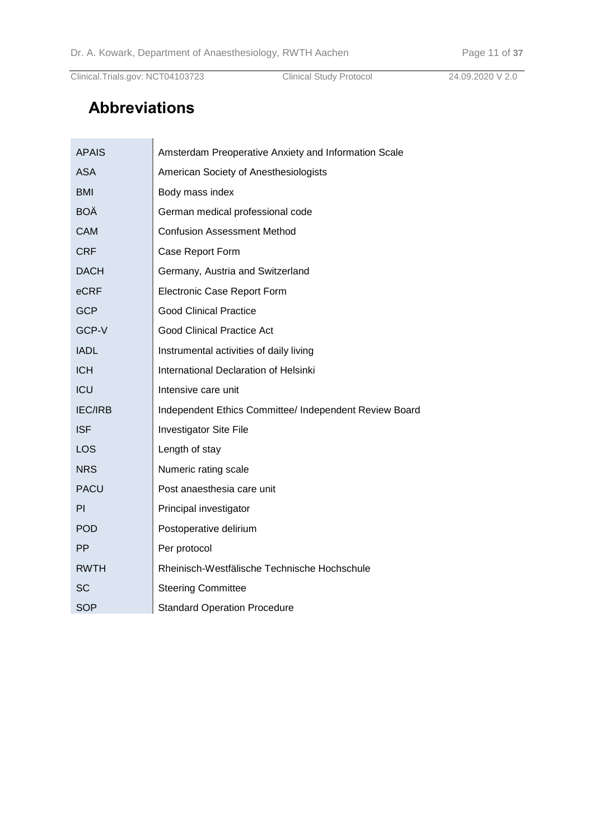# **Abbreviations**

| APAIS          | Amsterdam Preoperative Anxiety and Information Scale   |
|----------------|--------------------------------------------------------|
| <b>ASA</b>     | American Society of Anesthesiologists                  |
| <b>BMI</b>     | Body mass index                                        |
| BOÄ            | German medical professional code                       |
| <b>CAM</b>     | <b>Confusion Assessment Method</b>                     |
| <b>CRF</b>     | Case Report Form                                       |
| <b>DACH</b>    | Germany, Austria and Switzerland                       |
| eCRF           | Electronic Case Report Form                            |
| GCP            | <b>Good Clinical Practice</b>                          |
| GCP-V          | <b>Good Clinical Practice Act</b>                      |
| <b>IADL</b>    | Instrumental activities of daily living                |
| <b>ICH</b>     | International Declaration of Helsinki                  |
| ICU            | Intensive care unit                                    |
| <b>IEC/IRB</b> | Independent Ethics Committee/ Independent Review Board |
| <b>ISF</b>     | <b>Investigator Site File</b>                          |
| LOS            | Length of stay                                         |
| <b>NRS</b>     | Numeric rating scale                                   |
| <b>PACU</b>    | Post anaesthesia care unit                             |
| PI             | Principal investigator                                 |
| POD            | Postoperative delirium                                 |
| <b>PP</b>      | Per protocol                                           |
| <b>RWTH</b>    | Rheinisch-Westfälische Technische Hochschule           |
| SC             | <b>Steering Committee</b>                              |
| SOP            | <b>Standard Operation Procedure</b>                    |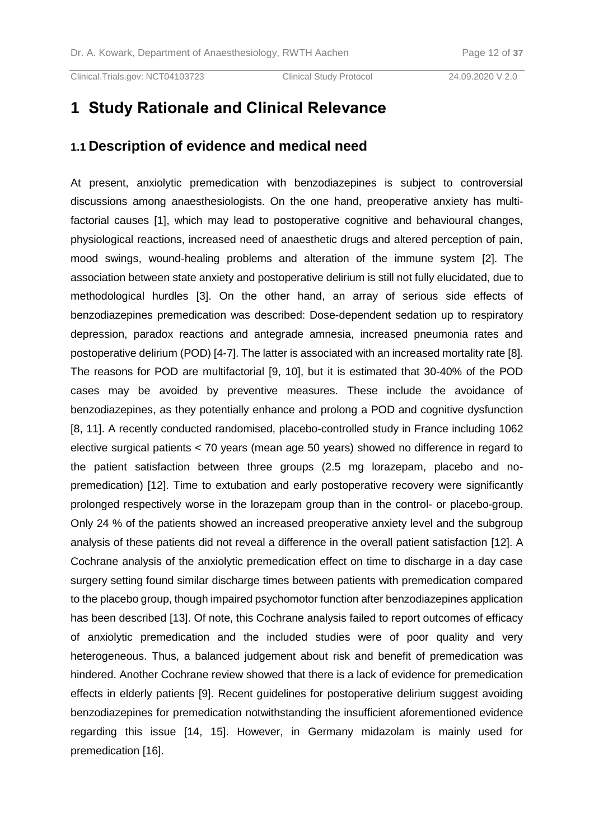# **1 Study Rationale and Clinical Relevance**

#### **1.1 Description of evidence and medical need**

At present, anxiolytic premedication with benzodiazepines is subject to controversial discussions among anaesthesiologists. On the one hand, preoperative anxiety has multifactorial causes [\[1\]](#page-30-0), which may lead to postoperative cognitive and behavioural changes, physiological reactions, increased need of anaesthetic drugs and altered perception of pain, mood swings, wound-healing problems and alteration of the immune system [\[2\]](#page-30-1). The association between state anxiety and postoperative delirium is still not fully elucidated, due to methodological hurdles [\[3\]](#page-30-2). On the other hand, an array of serious side effects of benzodiazepines premedication was described: Dose-dependent sedation up to respiratory depression, paradox reactions and antegrade amnesia, increased pneumonia rates and postoperative delirium (POD) [\[4-7\]](#page-30-3). The latter is associated with an increased mortality rate [\[8\]](#page-30-4). The reasons for POD are multifactorial [\[9,](#page-30-5) [10\]](#page-30-6), but it is estimated that 30-40% of the POD cases may be avoided by preventive measures. These include the avoidance of benzodiazepines, as they potentially enhance and prolong a POD and cognitive dysfunction [\[8,](#page-30-4) [11\]](#page-30-7). A recently conducted randomised, placebo-controlled study in France including 1062 elective surgical patients < 70 years (mean age 50 years) showed no difference in regard to the patient satisfaction between three groups (2.5 mg lorazepam, placebo and nopremedication) [\[12\]](#page-30-8). Time to extubation and early postoperative recovery were significantly prolonged respectively worse in the lorazepam group than in the control- or placebo-group. Only 24 % of the patients showed an increased preoperative anxiety level and the subgroup analysis of these patients did not reveal a difference in the overall patient satisfaction [\[12\]](#page-30-8). A Cochrane analysis of the anxiolytic premedication effect on time to discharge in a day case surgery setting found similar discharge times between patients with premedication compared to the placebo group, though impaired psychomotor function after benzodiazepines application has been described [\[13\]](#page-30-9). Of note, this Cochrane analysis failed to report outcomes of efficacy of anxiolytic premedication and the included studies were of poor quality and very heterogeneous. Thus, a balanced judgement about risk and benefit of premedication was hindered. Another Cochrane review showed that there is a lack of evidence for premedication effects in elderly patients [\[9\]](#page-30-5). Recent guidelines for postoperative delirium suggest avoiding benzodiazepines for premedication notwithstanding the insufficient aforementioned evidence regarding this issue [\[14,](#page-30-10) [15\]](#page-30-11). However, in Germany midazolam is mainly used for premedication [\[16\]](#page-30-12).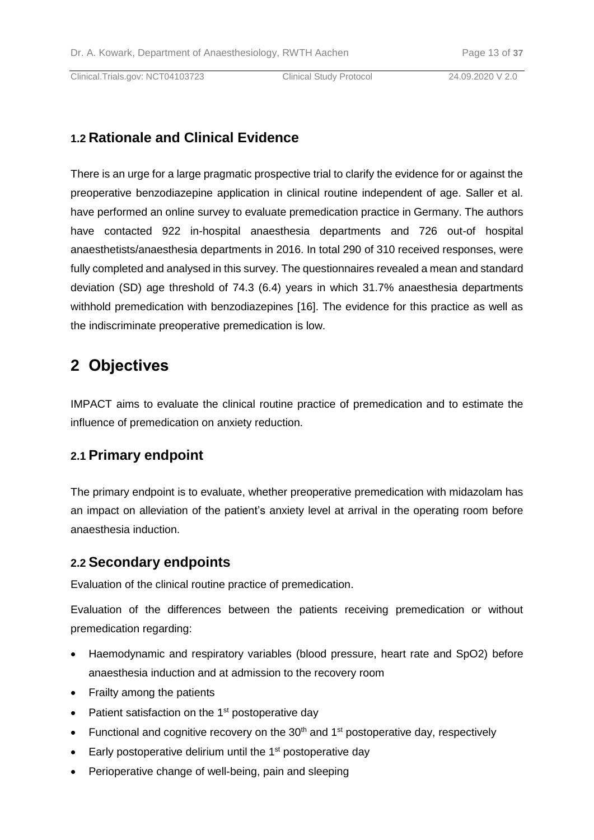## **1.2 Rationale and Clinical Evidence**

There is an urge for a large pragmatic prospective trial to clarify the evidence for or against the preoperative benzodiazepine application in clinical routine independent of age. Saller et al. have performed an online survey to evaluate premedication practice in Germany. The authors have contacted 922 in-hospital anaesthesia departments and 726 out-of hospital anaesthetists/anaesthesia departments in 2016. In total 290 of 310 received responses, were fully completed and analysed in this survey. The questionnaires revealed a mean and standard deviation (SD) age threshold of 74.3 (6.4) years in which 31.7% anaesthesia departments withhold premedication with benzodiazepines [\[16\]](#page-30-12). The evidence for this practice as well as the indiscriminate preoperative premedication is low.

# **2 Objectives**

IMPACT aims to evaluate the clinical routine practice of premedication and to estimate the influence of premedication on anxiety reduction.

## **2.1 Primary endpoint**

The primary endpoint is to evaluate, whether preoperative premedication with midazolam has an impact on alleviation of the patient's anxiety level at arrival in the operating room before anaesthesia induction.

## **2.2 Secondary endpoints**

Evaluation of the clinical routine practice of premedication.

Evaluation of the differences between the patients receiving premedication or without premedication regarding:

- Haemodynamic and respiratory variables (blood pressure, heart rate and SpO2) before anaesthesia induction and at admission to the recovery room
- Frailty among the patients
- $\bullet$  Patient satisfaction on the 1<sup>st</sup> postoperative day
- Functional and cognitive recovery on the  $30<sup>th</sup>$  and  $1<sup>st</sup>$  postoperative day, respectively
- $\bullet$  Early postoperative delirium until the 1<sup>st</sup> postoperative day
- Perioperative change of well-being, pain and sleeping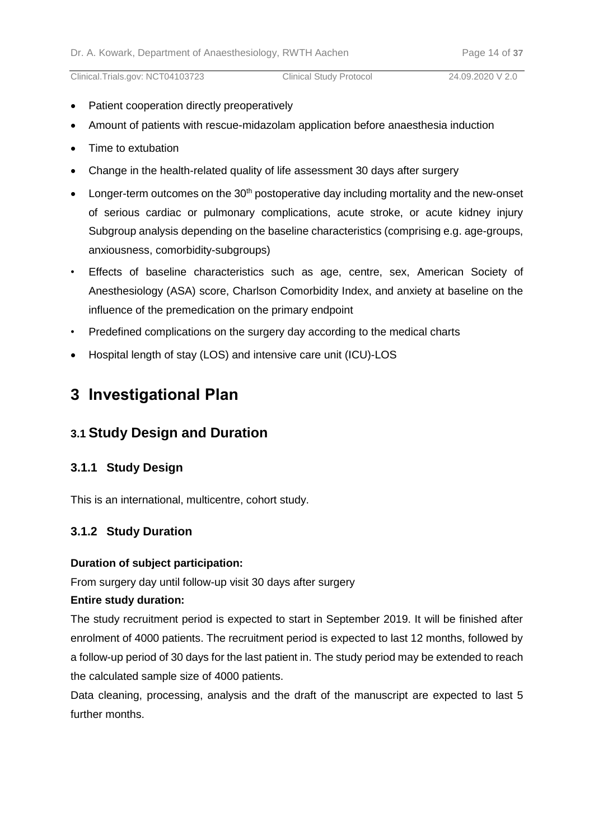- Patient cooperation directly preoperatively
- Amount of patients with rescue-midazolam application before anaesthesia induction
- Time to extubation
- Change in the health-related quality of life assessment 30 days after surgery
- **•** Longer-term outcomes on the 30<sup>th</sup> postoperative day including mortality and the new-onset of serious cardiac or pulmonary complications, acute stroke, or acute kidney injury Subgroup analysis depending on the baseline characteristics (comprising e.g. age-groups, anxiousness, comorbidity-subgroups)
- Effects of baseline characteristics such as age, centre, sex, American Society of Anesthesiology (ASA) score, Charlson Comorbidity Index, and anxiety at baseline on the influence of the premedication on the primary endpoint
- Predefined complications on the surgery day according to the medical charts
- Hospital length of stay (LOS) and intensive care unit (ICU)-LOS

# **3 Investigational Plan**

## **3.1 Study Design and Duration**

## **3.1.1 Study Design**

This is an international, multicentre, cohort study.

## **3.1.2 Study Duration**

#### **Duration of subject participation:**

From surgery day until follow-up visit 30 days after surgery

#### **Entire study duration:**

The study recruitment period is expected to start in September 2019. It will be finished after enrolment of 4000 patients. The recruitment period is expected to last 12 months, followed by a follow-up period of 30 days for the last patient in. The study period may be extended to reach the calculated sample size of 4000 patients.

Data cleaning, processing, analysis and the draft of the manuscript are expected to last 5 further months.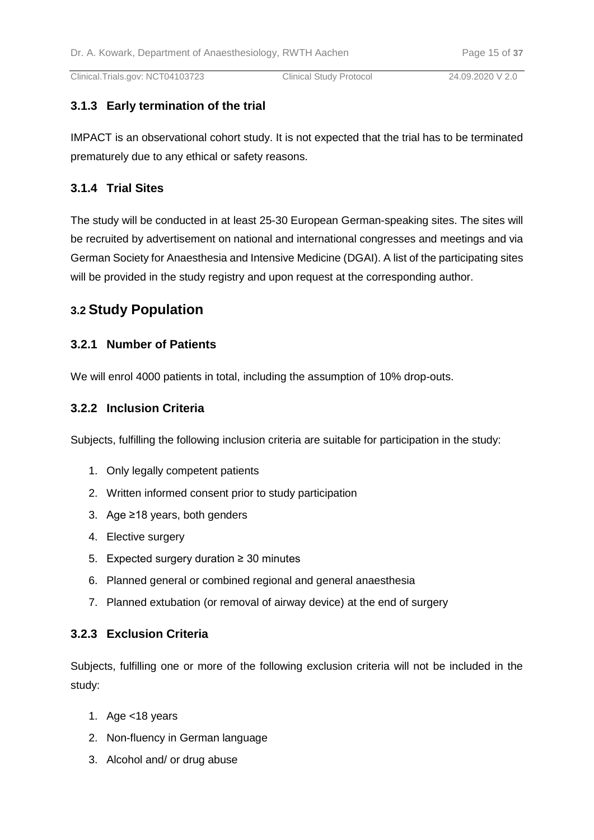## **3.1.3 Early termination of the trial**

IMPACT is an observational cohort study. It is not expected that the trial has to be terminated prematurely due to any ethical or safety reasons.

## **3.1.4 Trial Sites**

The study will be conducted in at least 25-30 European German-speaking sites. The sites will be recruited by advertisement on national and international congresses and meetings and via German Society for Anaesthesia and Intensive Medicine (DGAI). A list of the participating sites will be provided in the study registry and upon request at the corresponding author.

## **3.2 Study Population**

## **3.2.1 Number of Patients**

We will enrol 4000 patients in total, including the assumption of 10% drop-outs.

#### **3.2.2 Inclusion Criteria**

Subjects, fulfilling the following inclusion criteria are suitable for participation in the study:

- 1. Only legally competent patients
- 2. Written informed consent prior to study participation
- 3. Age ≥18 years, both genders
- 4. Elective surgery
- 5. Expected surgery duration ≥ 30 minutes
- 6. Planned general or combined regional and general anaesthesia
- 7. Planned extubation (or removal of airway device) at the end of surgery

#### **3.2.3 Exclusion Criteria**

Subjects, fulfilling one or more of the following exclusion criteria will not be included in the study:

- 1. Age <18 years
- 2. Non-fluency in German language
- 3. Alcohol and/ or drug abuse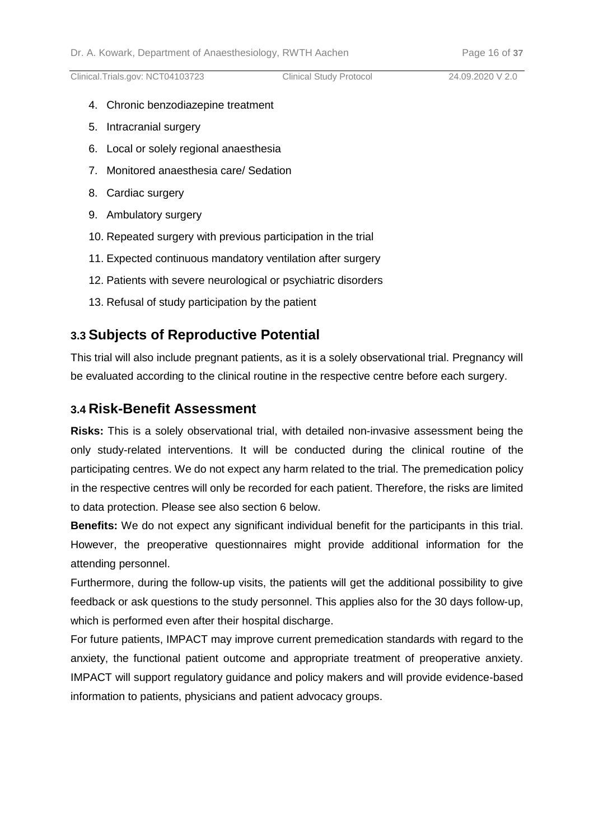- 4. Chronic benzodiazepine treatment
- 5. Intracranial surgery
- 6. Local or solely regional anaesthesia
- 7. Monitored anaesthesia care/ Sedation
- 8. Cardiac surgery
- 9. Ambulatory surgery
- 10. Repeated surgery with previous participation in the trial
- 11. Expected continuous mandatory ventilation after surgery
- 12. Patients with severe neurological or psychiatric disorders
- 13. Refusal of study participation by the patient

## **3.3 Subjects of Reproductive Potential**

This trial will also include pregnant patients, as it is a solely observational trial. Pregnancy will be evaluated according to the clinical routine in the respective centre before each surgery.

## **3.4 Risk-Benefit Assessment**

**Risks:** This is a solely observational trial, with detailed non-invasive assessment being the only study-related interventions. It will be conducted during the clinical routine of the participating centres. We do not expect any harm related to the trial. The premedication policy in the respective centres will only be recorded for each patient. Therefore, the risks are limited to data protection. Please see also section 6 below.

**Benefits:** We do not expect any significant individual benefit for the participants in this trial. However, the preoperative questionnaires might provide additional information for the attending personnel.

Furthermore, during the follow-up visits, the patients will get the additional possibility to give feedback or ask questions to the study personnel. This applies also for the 30 days follow-up, which is performed even after their hospital discharge.

For future patients, IMPACT may improve current premedication standards with regard to the anxiety, the functional patient outcome and appropriate treatment of preoperative anxiety. IMPACT will support regulatory guidance and policy makers and will provide evidence-based information to patients, physicians and patient advocacy groups.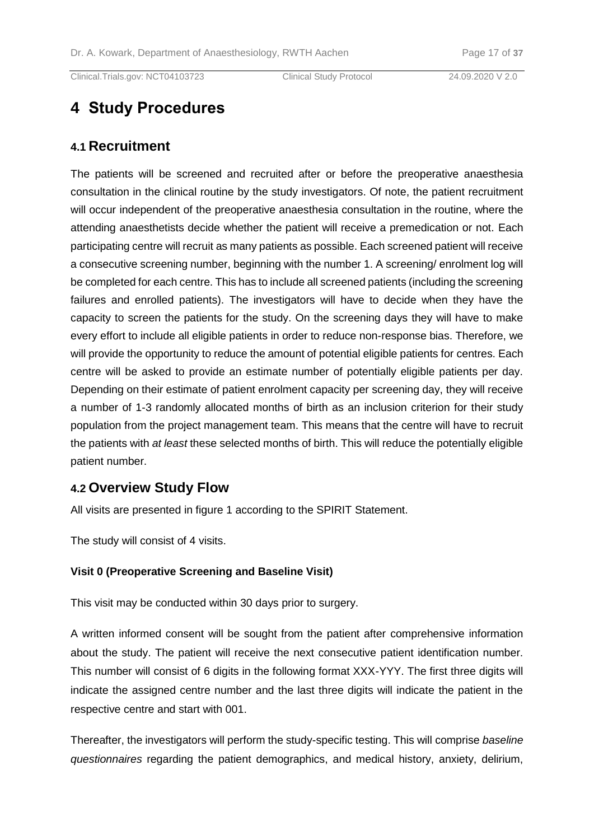# **4 Study Procedures**

## **4.1 Recruitment**

The patients will be screened and recruited after or before the preoperative anaesthesia consultation in the clinical routine by the study investigators. Of note, the patient recruitment will occur independent of the preoperative anaesthesia consultation in the routine, where the attending anaesthetists decide whether the patient will receive a premedication or not. Each participating centre will recruit as many patients as possible. Each screened patient will receive a consecutive screening number, beginning with the number 1. A screening/ enrolment log will be completed for each centre. This has to include all screened patients (including the screening failures and enrolled patients). The investigators will have to decide when they have the capacity to screen the patients for the study. On the screening days they will have to make every effort to include all eligible patients in order to reduce non-response bias. Therefore, we will provide the opportunity to reduce the amount of potential eligible patients for centres. Each centre will be asked to provide an estimate number of potentially eligible patients per day. Depending on their estimate of patient enrolment capacity per screening day, they will receive a number of 1-3 randomly allocated months of birth as an inclusion criterion for their study population from the project management team. This means that the centre will have to recruit the patients with *at least* these selected months of birth. This will reduce the potentially eligible patient number.

## **4.2 Overview Study Flow**

All visits are presented in figure 1 according to the SPIRIT Statement.

The study will consist of 4 visits.

## **Visit 0 (Preoperative Screening and Baseline Visit)**

This visit may be conducted within 30 days prior to surgery.

A written informed consent will be sought from the patient after comprehensive information about the study. The patient will receive the next consecutive patient identification number. This number will consist of 6 digits in the following format XXX-YYY. The first three digits will indicate the assigned centre number and the last three digits will indicate the patient in the respective centre and start with 001.

Thereafter, the investigators will perform the study-specific testing. This will comprise *baseline questionnaires* regarding the patient demographics, and medical history, anxiety, delirium,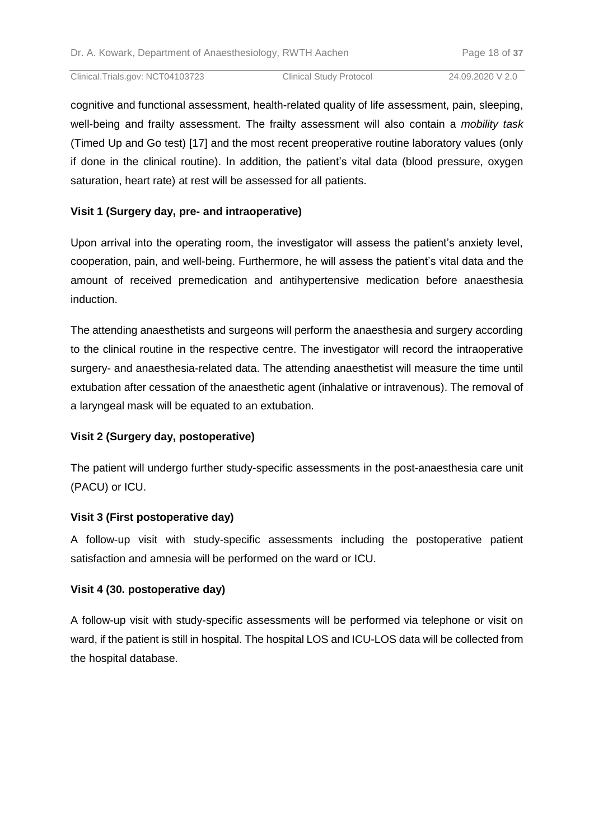cognitive and functional assessment, health-related quality of life assessment, pain, sleeping, well-being and frailty assessment. The frailty assessment will also contain a *mobility task* (Timed Up and Go test) [\[17\]](#page-30-13) and the most recent preoperative routine laboratory values (only if done in the clinical routine). In addition, the patient's vital data (blood pressure, oxygen saturation, heart rate) at rest will be assessed for all patients.

## **Visit 1 (Surgery day, pre- and intraoperative)**

Upon arrival into the operating room, the investigator will assess the patient's anxiety level, cooperation, pain, and well-being. Furthermore, he will assess the patient's vital data and the amount of received premedication and antihypertensive medication before anaesthesia induction.

The attending anaesthetists and surgeons will perform the anaesthesia and surgery according to the clinical routine in the respective centre. The investigator will record the intraoperative surgery- and anaesthesia-related data. The attending anaesthetist will measure the time until extubation after cessation of the anaesthetic agent (inhalative or intravenous). The removal of a laryngeal mask will be equated to an extubation.

## **Visit 2 (Surgery day, postoperative)**

The patient will undergo further study-specific assessments in the post-anaesthesia care unit (PACU) or ICU.

## **Visit 3 (First postoperative day)**

A follow-up visit with study-specific assessments including the postoperative patient satisfaction and amnesia will be performed on the ward or ICU.

## **Visit 4 (30. postoperative day)**

A follow-up visit with study-specific assessments will be performed via telephone or visit on ward, if the patient is still in hospital. The hospital LOS and ICU-LOS data will be collected from the hospital database.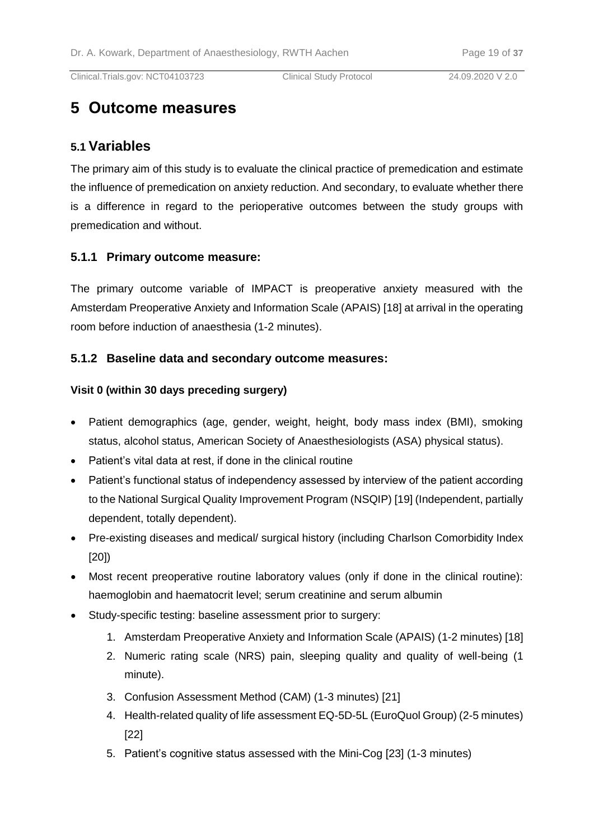# **5 Outcome measures**

## **5.1 Variables**

The primary aim of this study is to evaluate the clinical practice of premedication and estimate the influence of premedication on anxiety reduction. And secondary, to evaluate whether there is a difference in regard to the perioperative outcomes between the study groups with premedication and without.

## **5.1.1 Primary outcome measure:**

The primary outcome variable of IMPACT is preoperative anxiety measured with the Amsterdam Preoperative Anxiety and Information Scale (APAIS) [\[18\]](#page-30-14) at arrival in the operating room before induction of anaesthesia (1-2 minutes).

## **5.1.2 Baseline data and secondary outcome measures:**

#### **Visit 0 (within 30 days preceding surgery)**

- Patient demographics (age, gender, weight, height, body mass index (BMI), smoking status, alcohol status, American Society of Anaesthesiologists (ASA) physical status).
- Patient's vital data at rest, if done in the clinical routine
- Patient's functional status of independency assessed by interview of the patient according to the National Surgical Quality Improvement Program (NSQIP) [\[19\]](#page-30-15) (Independent, partially dependent, totally dependent).
- Pre-existing diseases and medical/ surgical history (including Charlson Comorbidity Index [\[20\]](#page-30-16))
- Most recent preoperative routine laboratory values (only if done in the clinical routine): haemoglobin and haematocrit level; serum creatinine and serum albumin
- Study-specific testing: baseline assessment prior to surgery:
	- 1. Amsterdam Preoperative Anxiety and Information Scale (APAIS) (1-2 minutes) [\[18\]](#page-30-14)
	- 2. Numeric rating scale (NRS) pain, sleeping quality and quality of well-being (1 minute).
	- 3. Confusion Assessment Method (CAM) (1-3 minutes) [\[21\]](#page-31-0)
	- 4. Health-related quality of life assessment EQ-5D-5L (EuroQuol Group) (2-5 minutes) [\[22\]](#page-31-1)
	- 5. Patient's cognitive status assessed with the Mini-Cog [\[23\]](#page-31-2) (1-3 minutes)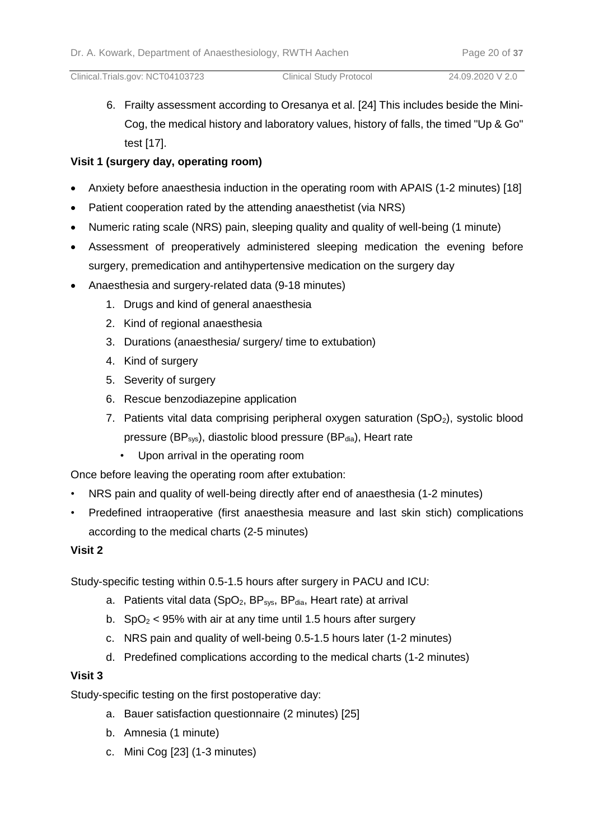6. Frailty assessment according to Oresanya et al. [\[24\]](#page-31-3) This includes beside the Mini-Cog, the medical history and laboratory values, history of falls, the timed "Up & Go" test [\[17\]](#page-30-13).

## **Visit 1 (surgery day, operating room)**

- Anxiety before anaesthesia induction in the operating room with APAIS (1-2 minutes) [\[18\]](#page-30-14)
- Patient cooperation rated by the attending anaesthetist (via NRS)
- Numeric rating scale (NRS) pain, sleeping quality and quality of well-being (1 minute)
- Assessment of preoperatively administered sleeping medication the evening before surgery, premedication and antihypertensive medication on the surgery day
- Anaesthesia and surgery-related data (9-18 minutes)
	- 1. Drugs and kind of general anaesthesia
	- 2. Kind of regional anaesthesia
	- 3. Durations (anaesthesia/ surgery/ time to extubation)
	- 4. Kind of surgery
	- 5. Severity of surgery
	- 6. Rescue benzodiazepine application
	- 7. Patients vital data comprising peripheral oxygen saturation  $(SpO<sub>2</sub>)$ , systolic blood pressure ( $BP_{sys}$ ), diastolic blood pressure ( $BP_{dia}$ ), Heart rate
		- Upon arrival in the operating room

Once before leaving the operating room after extubation:

- NRS pain and quality of well-being directly after end of anaesthesia (1-2 minutes)
- Predefined intraoperative (first anaesthesia measure and last skin stich) complications according to the medical charts (2-5 minutes)

## **Visit 2**

Study-specific testing within 0.5-1.5 hours after surgery in PACU and ICU:

- a. Patients vital data (SpO<sub>2</sub>, BP<sub>sys</sub>, BP<sub>dia</sub>, Heart rate) at arrival
- b.  $SpO<sub>2</sub> < 95%$  with air at any time until 1.5 hours after surgery
- c. NRS pain and quality of well-being 0.5-1.5 hours later (1-2 minutes)
- d. Predefined complications according to the medical charts (1-2 minutes)

## **Visit 3**

Study-specific testing on the first postoperative day:

- a. Bauer satisfaction questionnaire (2 minutes) [\[25\]](#page-31-4)
- b. Amnesia (1 minute)
- c. Mini Cog [\[23\]](#page-31-2) (1-3 minutes)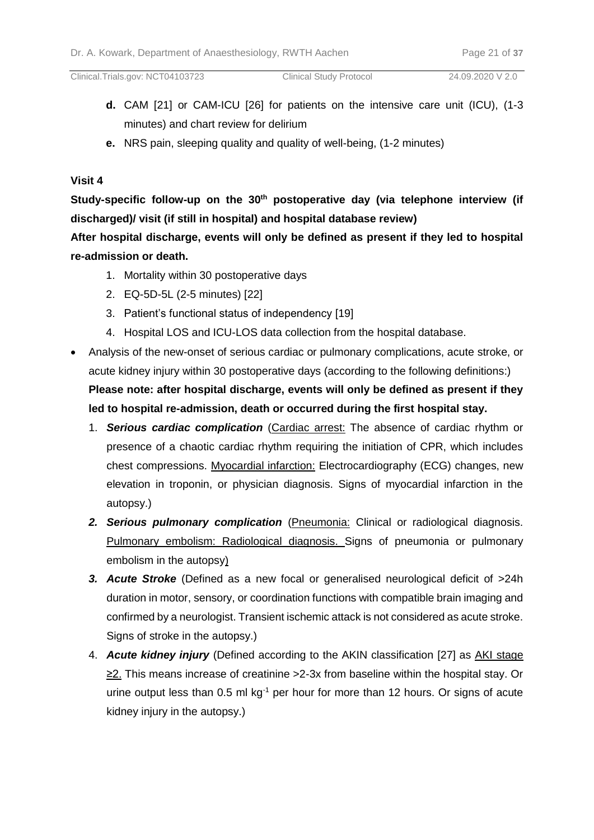- **d.** CAM [\[21\]](#page-31-0) or CAM-ICU [\[26\]](#page-31-5) for patients on the intensive care unit (ICU), (1-3 minutes) and chart review for delirium
- **e.** NRS pain, sleeping quality and quality of well-being, (1-2 minutes)

## **Visit 4**

**Study-specific follow-up on the 30th postoperative day (via telephone interview (if discharged)/ visit (if still in hospital) and hospital database review)**

**After hospital discharge, events will only be defined as present if they led to hospital re-admission or death.**

- 1. Mortality within 30 postoperative days
- 2. EQ-5D-5L (2-5 minutes) [\[22\]](#page-31-1)
- 3. Patient's functional status of independency [\[19\]](#page-30-15)
- 4. Hospital LOS and ICU-LOS data collection from the hospital database.
- Analysis of the new-onset of serious cardiac or pulmonary complications, acute stroke, or acute kidney injury within 30 postoperative days (according to the following definitions:) **Please note: after hospital discharge, events will only be defined as present if they led to hospital re-admission, death or occurred during the first hospital stay.**
	- 1. *Serious cardiac complication* (Cardiac arrest: The absence of cardiac rhythm or presence of a chaotic cardiac rhythm requiring the initiation of CPR, which includes chest compressions. Myocardial infarction: Electrocardiography (ECG) changes, new elevation in troponin, or physician diagnosis. Signs of myocardial infarction in the autopsy.)
	- *2. Serious pulmonary complication* (Pneumonia: Clinical or radiological diagnosis. Pulmonary embolism: Radiological diagnosis. Signs of pneumonia or pulmonary embolism in the autopsy)
	- *3. Acute Stroke* (Defined as a new focal or generalised neurological deficit of >24h duration in motor, sensory, or coordination functions with compatible brain imaging and confirmed by a neurologist. Transient ischemic attack is not considered as acute stroke. Signs of stroke in the autopsy.)
	- 4. *Acute kidney injury* (Defined according to the AKIN classification [\[27\]](#page-31-6) as AKI stage ≥2. This means increase of creatinine >2-3x from baseline within the hospital stay. Or urine output less than  $0.5$  ml kg $^{-1}$  per hour for more than 12 hours. Or signs of acute kidney injury in the autopsy.)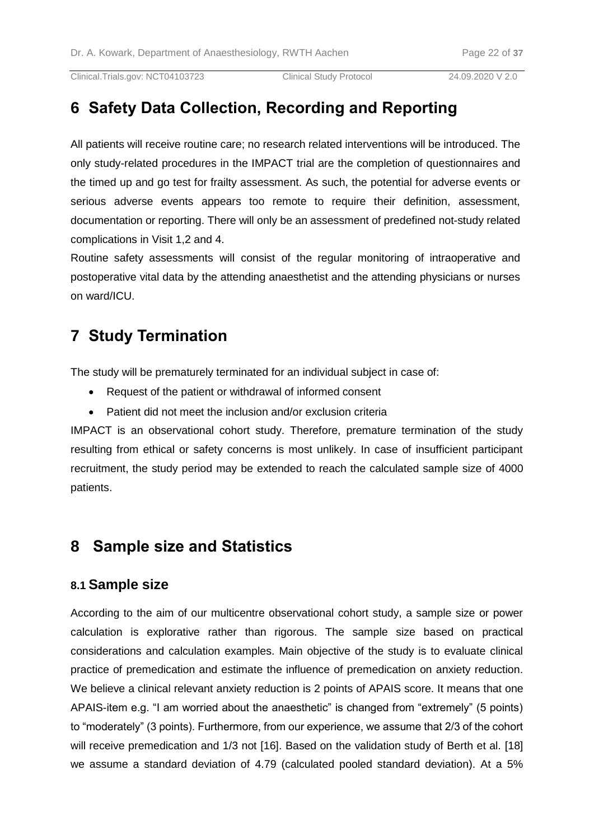# **6 Safety Data Collection, Recording and Reporting**

All patients will receive routine care; no research related interventions will be introduced. The only study-related procedures in the IMPACT trial are the completion of questionnaires and the timed up and go test for frailty assessment. As such, the potential for adverse events or serious adverse events appears too remote to require their definition, assessment, documentation or reporting. There will only be an assessment of predefined not-study related complications in Visit 1,2 and 4.

Routine safety assessments will consist of the regular monitoring of intraoperative and postoperative vital data by the attending anaesthetist and the attending physicians or nurses on ward/ICU.

# **7 Study Termination**

The study will be prematurely terminated for an individual subject in case of:

- Request of the patient or withdrawal of informed consent
- Patient did not meet the inclusion and/or exclusion criteria

IMPACT is an observational cohort study. Therefore, premature termination of the study resulting from ethical or safety concerns is most unlikely. In case of insufficient participant recruitment, the study period may be extended to reach the calculated sample size of 4000 patients.

## **8 Sample size and Statistics**

## **8.1 Sample size**

According to the aim of our multicentre observational cohort study, a sample size or power calculation is explorative rather than rigorous. The sample size based on practical considerations and calculation examples. Main objective of the study is to evaluate clinical practice of premedication and estimate the influence of premedication on anxiety reduction. We believe a clinical relevant anxiety reduction is 2 points of APAIS score. It means that one APAIS-item e.g. "I am worried about the anaesthetic" is changed from "extremely" (5 points) to "moderately" (3 points). Furthermore, from our experience, we assume that 2/3 of the cohort will receive premedication and 1/3 not [\[16\]](#page-30-12). Based on the validation study of Berth et al. [\[18\]](#page-30-14) we assume a standard deviation of 4.79 (calculated pooled standard deviation). At a 5%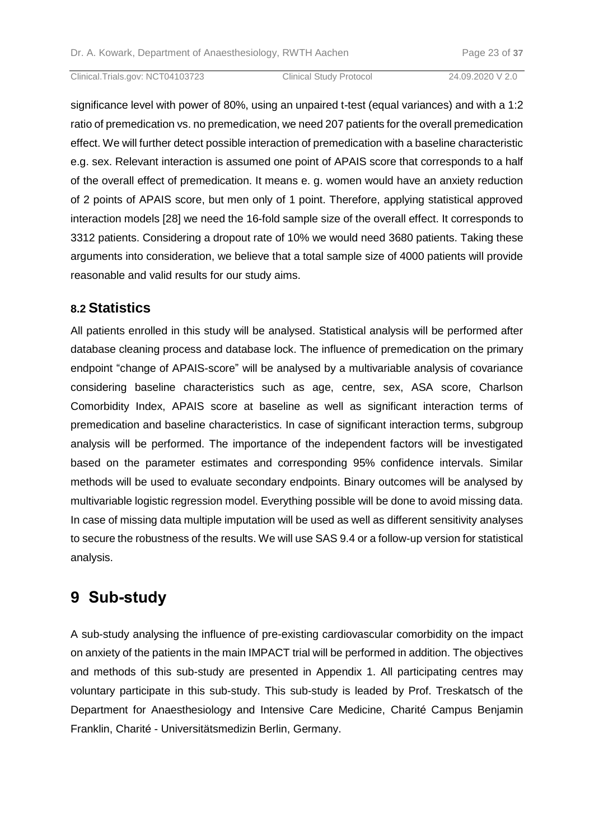significance level with power of 80%, using an unpaired t-test (equal variances) and with a 1:2 ratio of premedication vs. no premedication, we need 207 patients for the overall premedication effect. We will further detect possible interaction of premedication with a baseline characteristic e.g. sex. Relevant interaction is assumed one point of APAIS score that corresponds to a half of the overall effect of premedication. It means e. g. women would have an anxiety reduction of 2 points of APAIS score, but men only of 1 point. Therefore, applying statistical approved interaction models [\[28\]](#page-31-7) we need the 16-fold sample size of the overall effect. It corresponds to 3312 patients. Considering a dropout rate of 10% we would need 3680 patients. Taking these arguments into consideration, we believe that a total sample size of 4000 patients will provide reasonable and valid results for our study aims.

## **8.2 Statistics**

All patients enrolled in this study will be analysed. Statistical analysis will be performed after database cleaning process and database lock. The influence of premedication on the primary endpoint "change of APAIS-score" will be analysed by a multivariable analysis of covariance considering baseline characteristics such as age, centre, sex, ASA score, Charlson Comorbidity Index, APAIS score at baseline as well as significant interaction terms of premedication and baseline characteristics. In case of significant interaction terms, subgroup analysis will be performed. The importance of the independent factors will be investigated based on the parameter estimates and corresponding 95% confidence intervals. Similar methods will be used to evaluate secondary endpoints. Binary outcomes will be analysed by multivariable logistic regression model. Everything possible will be done to avoid missing data. In case of missing data multiple imputation will be used as well as different sensitivity analyses to secure the robustness of the results. We will use SAS 9.4 or a follow-up version for statistical analysis.

# **9 Sub-study**

A sub-study analysing the influence of pre-existing cardiovascular comorbidity on the impact on anxiety of the patients in the main IMPACT trial will be performed in addition. The objectives and methods of this sub-study are presented in Appendix 1. All participating centres may voluntary participate in this sub-study. This sub-study is leaded by Prof. Treskatsch of the Department for Anaesthesiology and Intensive Care Medicine, Charité Campus Benjamin Franklin, Charité - Universitätsmedizin Berlin, Germany.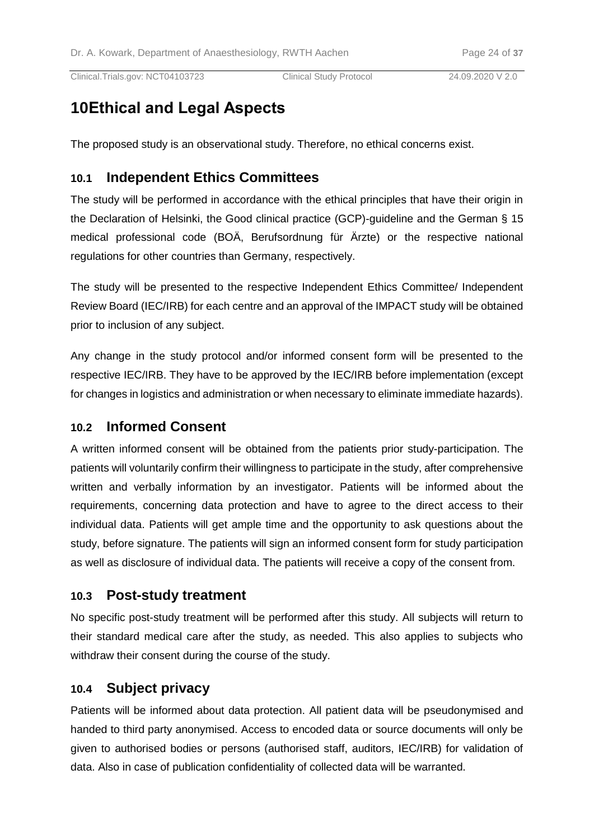# **10Ethical and Legal Aspects**

The proposed study is an observational study. Therefore, no ethical concerns exist.

## **10.1 Independent Ethics Committees**

The study will be performed in accordance with the ethical principles that have their origin in the Declaration of Helsinki, the Good clinical practice (GCP)-guideline and the German § 15 medical professional code (BOÄ, Berufsordnung für Ärzte) or the respective national regulations for other countries than Germany, respectively.

The study will be presented to the respective Independent Ethics Committee/ Independent Review Board (IEC/IRB) for each centre and an approval of the IMPACT study will be obtained prior to inclusion of any subject.

Any change in the study protocol and/or informed consent form will be presented to the respective IEC/IRB. They have to be approved by the IEC/IRB before implementation (except for changes in logistics and administration or when necessary to eliminate immediate hazards).

## **10.2 Informed Consent**

A written informed consent will be obtained from the patients prior study-participation. The patients will voluntarily confirm their willingness to participate in the study, after comprehensive written and verbally information by an investigator. Patients will be informed about the requirements, concerning data protection and have to agree to the direct access to their individual data. Patients will get ample time and the opportunity to ask questions about the study, before signature. The patients will sign an informed consent form for study participation as well as disclosure of individual data. The patients will receive a copy of the consent from.

## **10.3 Post-study treatment**

No specific post-study treatment will be performed after this study. All subjects will return to their standard medical care after the study, as needed. This also applies to subjects who withdraw their consent during the course of the study.

## **10.4 Subject privacy**

Patients will be informed about data protection. All patient data will be pseudonymised and handed to third party anonymised. Access to encoded data or source documents will only be given to authorised bodies or persons (authorised staff, auditors, IEC/IRB) for validation of data. Also in case of publication confidentiality of collected data will be warranted.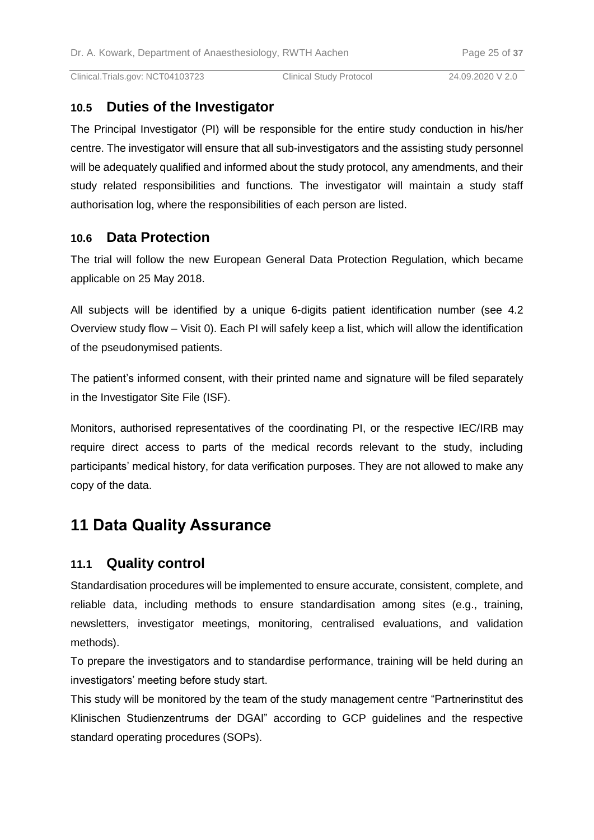## **10.5 Duties of the Investigator**

The Principal Investigator (PI) will be responsible for the entire study conduction in his/her centre. The investigator will ensure that all sub-investigators and the assisting study personnel will be adequately qualified and informed about the study protocol, any amendments, and their study related responsibilities and functions. The investigator will maintain a study staff authorisation log, where the responsibilities of each person are listed.

## **10.6 Data Protection**

The trial will follow the new European General Data Protection Regulation, which became applicable on 25 May 2018.

All subjects will be identified by a unique 6-digits patient identification number (see 4.2 Overview study flow – Visit 0). Each PI will safely keep a list, which will allow the identification of the pseudonymised patients.

The patient's informed consent, with their printed name and signature will be filed separately in the Investigator Site File (ISF).

Monitors, authorised representatives of the coordinating PI, or the respective IEC/IRB may require direct access to parts of the medical records relevant to the study, including participants' medical history, for data verification purposes. They are not allowed to make any copy of the data.

# **11 Data Quality Assurance**

## **11.1 Quality control**

Standardisation procedures will be implemented to ensure accurate, consistent, complete, and reliable data, including methods to ensure standardisation among sites (e.g., training, newsletters, investigator meetings, monitoring, centralised evaluations, and validation methods).

To prepare the investigators and to standardise performance, training will be held during an investigators' meeting before study start.

This study will be monitored by the team of the study management centre "Partnerinstitut des Klinischen Studienzentrums der DGAI" according to GCP guidelines and the respective standard operating procedures (SOPs).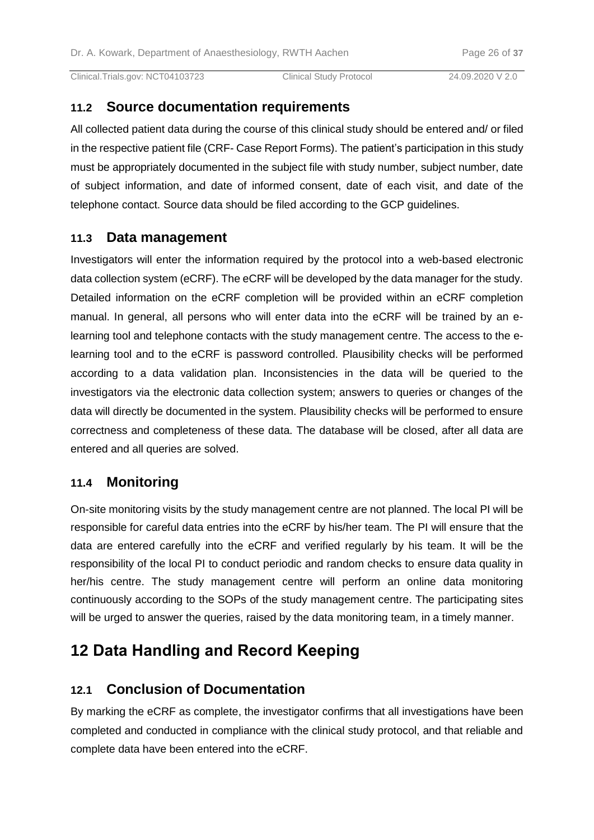## **11.2 Source documentation requirements**

All collected patient data during the course of this clinical study should be entered and/ or filed in the respective patient file (CRF- Case Report Forms). The patient's participation in this study must be appropriately documented in the subject file with study number, subject number, date of subject information, and date of informed consent, date of each visit, and date of the telephone contact. Source data should be filed according to the GCP guidelines.

## **11.3 Data management**

Investigators will enter the information required by the protocol into a web-based electronic data collection system (eCRF). The eCRF will be developed by the data manager for the study. Detailed information on the eCRF completion will be provided within an eCRF completion manual. In general, all persons who will enter data into the eCRF will be trained by an elearning tool and telephone contacts with the study management centre. The access to the elearning tool and to the eCRF is password controlled. Plausibility checks will be performed according to a data validation plan. Inconsistencies in the data will be queried to the investigators via the electronic data collection system; answers to queries or changes of the data will directly be documented in the system. Plausibility checks will be performed to ensure correctness and completeness of these data. The database will be closed, after all data are entered and all queries are solved.

## **11.4 Monitoring**

On-site monitoring visits by the study management centre are not planned. The local PI will be responsible for careful data entries into the eCRF by his/her team. The PI will ensure that the data are entered carefully into the eCRF and verified regularly by his team. It will be the responsibility of the local PI to conduct periodic and random checks to ensure data quality in her/his centre. The study management centre will perform an online data monitoring continuously according to the SOPs of the study management centre. The participating sites will be urged to answer the queries, raised by the data monitoring team, in a timely manner.

# **12 Data Handling and Record Keeping**

## **12.1 Conclusion of Documentation**

By marking the eCRF as complete, the investigator confirms that all investigations have been completed and conducted in compliance with the clinical study protocol, and that reliable and complete data have been entered into the eCRF.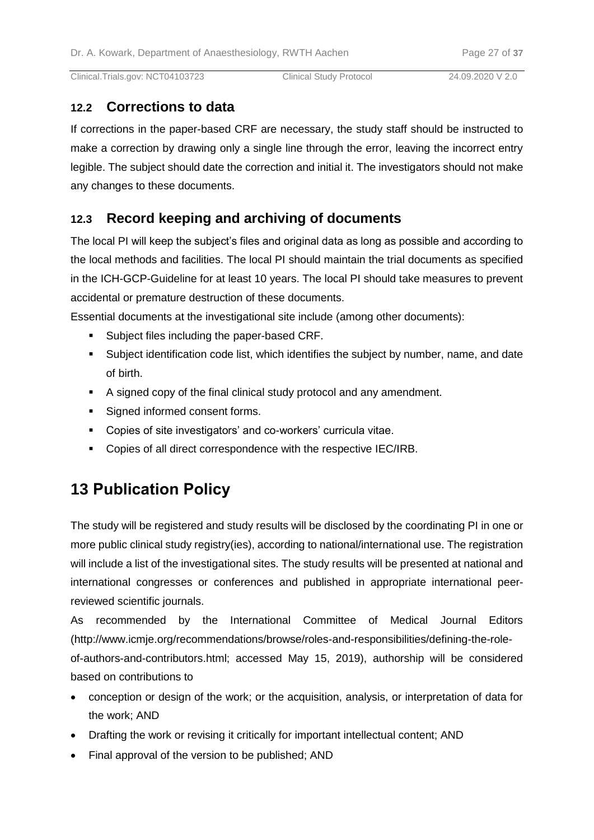## **12.2 Corrections to data**

If corrections in the paper-based CRF are necessary, the study staff should be instructed to make a correction by drawing only a single line through the error, leaving the incorrect entry legible. The subject should date the correction and initial it. The investigators should not make any changes to these documents.

## **12.3 Record keeping and archiving of documents**

The local PI will keep the subject's files and original data as long as possible and according to the local methods and facilities. The local PI should maintain the trial documents as specified in the ICH-GCP-Guideline for at least 10 years. The local PI should take measures to prevent accidental or premature destruction of these documents.

Essential documents at the investigational site include (among other documents):

- **Subject files including the paper-based CRF.**
- Subject identification code list, which identifies the subject by number, name, and date of birth.
- A signed copy of the final clinical study protocol and any amendment.
- Signed informed consent forms.
- Copies of site investigators' and co-workers' curricula vitae.
- **Copies of all direct correspondence with the respective IEC/IRB.**

# **13 Publication Policy**

The study will be registered and study results will be disclosed by the coordinating PI in one or more public clinical study registry(ies), according to national/international use. The registration will include a list of the investigational sites. The study results will be presented at national and international congresses or conferences and published in appropriate international peerreviewed scientific journals.

As recommended by the International Committee of Medical Journal Editors (http://www.icmje.org/recommendations/browse/roles-and-responsibilities/defining-the-roleof-authors-and-contributors.html; accessed May 15, 2019), authorship will be considered based on contributions to

- conception or design of the work; or the acquisition, analysis, or interpretation of data for the work; AND
- Drafting the work or revising it critically for important intellectual content; AND
- Final approval of the version to be published; AND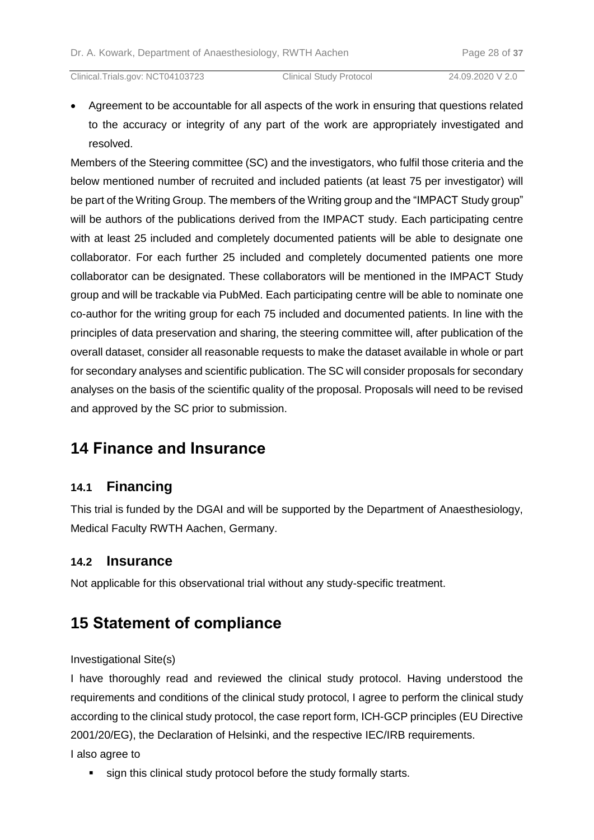Agreement to be accountable for all aspects of the work in ensuring that questions related to the accuracy or integrity of any part of the work are appropriately investigated and resolved.

Members of the Steering committee (SC) and the investigators, who fulfil those criteria and the below mentioned number of recruited and included patients (at least 75 per investigator) will be part of the Writing Group. The members of the Writing group and the "IMPACT Study group" will be authors of the publications derived from the IMPACT study. Each participating centre with at least 25 included and completely documented patients will be able to designate one collaborator. For each further 25 included and completely documented patients one more collaborator can be designated. These collaborators will be mentioned in the IMPACT Study group and will be trackable via PubMed. Each participating centre will be able to nominate one co-author for the writing group for each 75 included and documented patients. In line with the principles of data preservation and sharing, the steering committee will, after publication of the overall dataset, consider all reasonable requests to make the dataset available in whole or part for secondary analyses and scientific publication. The SC will consider proposals for secondary analyses on the basis of the scientific quality of the proposal. Proposals will need to be revised and approved by the SC prior to submission.

# **14 Finance and Insurance**

## **14.1 Financing**

This trial is funded by the DGAI and will be supported by the Department of Anaesthesiology, Medical Faculty RWTH Aachen, Germany.

## **14.2 Insurance**

Not applicable for this observational trial without any study-specific treatment.

# **15 Statement of compliance**

Investigational Site(s)

I have thoroughly read and reviewed the clinical study protocol. Having understood the requirements and conditions of the clinical study protocol, I agree to perform the clinical study according to the clinical study protocol, the case report form, ICH-GCP principles (EU Directive 2001/20/EG), the Declaration of Helsinki, and the respective IEC/IRB requirements.

I also agree to

sign this clinical study protocol before the study formally starts.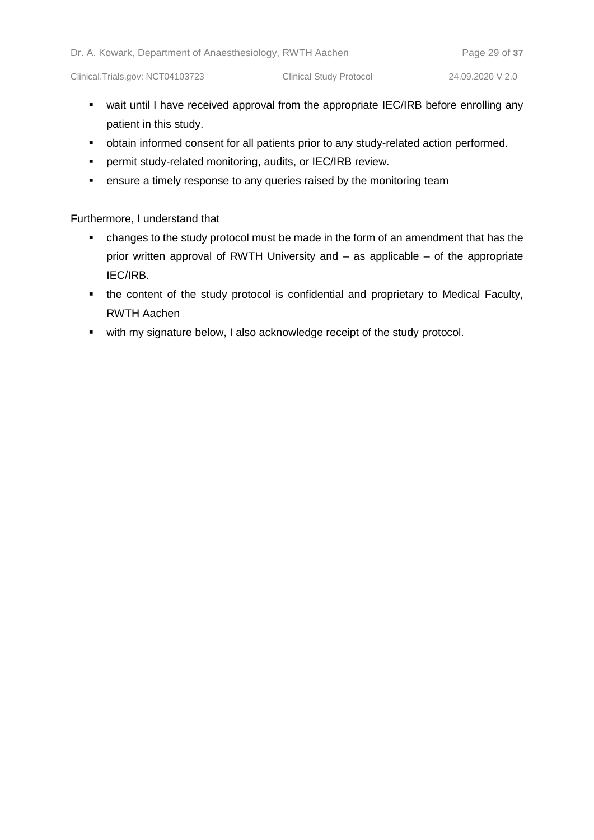- wait until I have received approval from the appropriate IEC/IRB before enrolling any patient in this study.
- obtain informed consent for all patients prior to any study-related action performed.
- permit study-related monitoring, audits, or IEC/IRB review.
- **EXE** ensure a timely response to any queries raised by the monitoring team

Furthermore, I understand that

- changes to the study protocol must be made in the form of an amendment that has the prior written approval of RWTH University and – as applicable – of the appropriate IEC/IRB.
- the content of the study protocol is confidential and proprietary to Medical Faculty, RWTH Aachen
- **•** with my signature below, I also acknowledge receipt of the study protocol.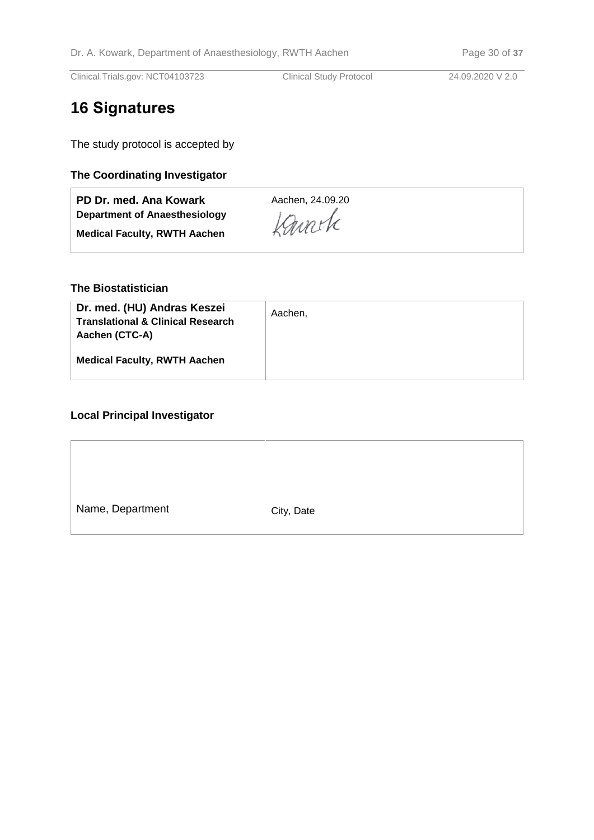# **16 Signatures**

The study protocol is accepted by

## **The Coordinating Investigator**

| PD Dr. med. Ana Kowark              | Aachen, 24.09.20 |
|-------------------------------------|------------------|
| Department of Anaesthesiology       | Kanche           |
| <b>Medical Faculty, RWTH Aachen</b> |                  |

#### **The Biostatistician**

| Dr. med. (HU) Andras Keszei<br><b>Translational &amp; Clinical Research</b><br>Aachen (CTC-A) | Aachen, |
|-----------------------------------------------------------------------------------------------|---------|
| <b>Medical Faculty, RWTH Aachen</b>                                                           |         |

## **Local Principal Investigator**

| Name, Department | City, Date |
|------------------|------------|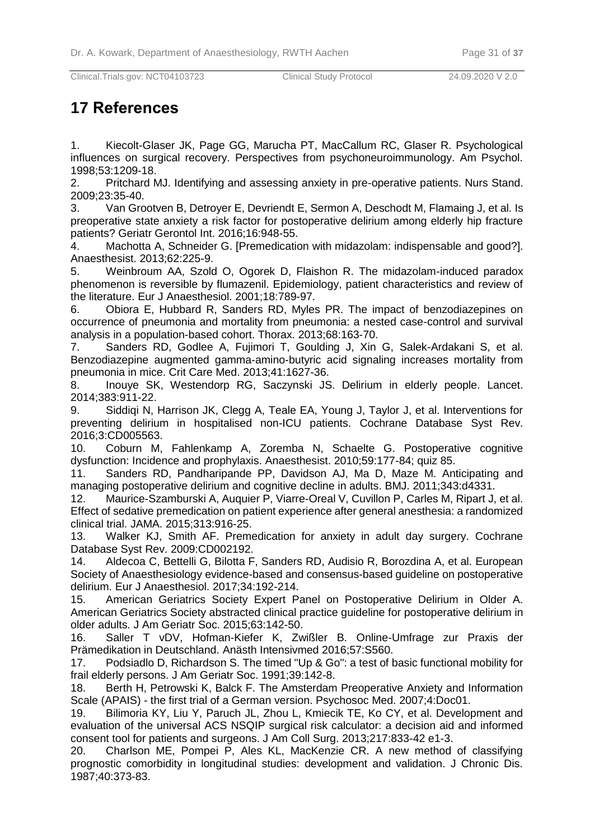# **17 References**

<span id="page-30-0"></span>1. Kiecolt-Glaser JK, Page GG, Marucha PT, MacCallum RC, Glaser R. Psychological influences on surgical recovery. Perspectives from psychoneuroimmunology. Am Psychol. 1998;53:1209-18.

<span id="page-30-1"></span>2. Pritchard MJ. Identifying and assessing anxiety in pre-operative patients. Nurs Stand. 2009;23:35-40.

<span id="page-30-2"></span>3. Van Grootven B, Detroyer E, Devriendt E, Sermon A, Deschodt M, Flamaing J, et al. Is preoperative state anxiety a risk factor for postoperative delirium among elderly hip fracture patients? Geriatr Gerontol Int. 2016;16:948-55.

<span id="page-30-3"></span>4. Machotta A, Schneider G. [Premedication with midazolam: indispensable and good?]. Anaesthesist. 2013;62:225-9.

5. Weinbroum AA, Szold O, Ogorek D, Flaishon R. The midazolam-induced paradox phenomenon is reversible by flumazenil. Epidemiology, patient characteristics and review of the literature. Eur J Anaesthesiol. 2001;18:789-97.

6. Obiora E, Hubbard R, Sanders RD, Myles PR. The impact of benzodiazepines on occurrence of pneumonia and mortality from pneumonia: a nested case-control and survival analysis in a population-based cohort. Thorax. 2013;68:163-70.

7. Sanders RD, Godlee A, Fujimori T, Goulding J, Xin G, Salek-Ardakani S, et al. Benzodiazepine augmented gamma-amino-butyric acid signaling increases mortality from pneumonia in mice. Crit Care Med. 2013;41:1627-36.

<span id="page-30-4"></span>8. Inouye SK, Westendorp RG, Saczynski JS. Delirium in elderly people. Lancet. 2014;383:911-22.

<span id="page-30-5"></span>9. Siddiqi N, Harrison JK, Clegg A, Teale EA, Young J, Taylor J, et al. Interventions for preventing delirium in hospitalised non-ICU patients. Cochrane Database Syst Rev. 2016;3:CD005563.

<span id="page-30-6"></span>10. Coburn M, Fahlenkamp A, Zoremba N, Schaelte G. Postoperative cognitive dysfunction: Incidence and prophylaxis. Anaesthesist. 2010;59:177-84; quiz 85.

<span id="page-30-7"></span>11. Sanders RD, Pandharipande PP, Davidson AJ, Ma D, Maze M. Anticipating and managing postoperative delirium and cognitive decline in adults. BMJ. 2011;343:d4331.

<span id="page-30-8"></span>12. Maurice-Szamburski A, Auquier P, Viarre-Oreal V, Cuvillon P, Carles M, Ripart J, et al. Effect of sedative premedication on patient experience after general anesthesia: a randomized clinical trial. JAMA. 2015;313:916-25.

<span id="page-30-9"></span>13. Walker KJ, Smith AF. Premedication for anxiety in adult day surgery. Cochrane Database Syst Rev. 2009:CD002192.

<span id="page-30-10"></span>14. Aldecoa C, Bettelli G, Bilotta F, Sanders RD, Audisio R, Borozdina A, et al. European Society of Anaesthesiology evidence-based and consensus-based guideline on postoperative delirium. Eur J Anaesthesiol. 2017;34:192-214.

<span id="page-30-11"></span>15. American Geriatrics Society Expert Panel on Postoperative Delirium in Older A. American Geriatrics Society abstracted clinical practice guideline for postoperative delirium in older adults. J Am Geriatr Soc. 2015;63:142-50.

<span id="page-30-12"></span>16. Saller T vDV, Hofman-Kiefer K, Zwißler B. Online-Umfrage zur Praxis der Prämedikation in Deutschland. Anästh Intensivmed 2016;57:S560.

<span id="page-30-13"></span>17. Podsiadlo D, Richardson S. The timed "Up & Go": a test of basic functional mobility for frail elderly persons. J Am Geriatr Soc. 1991;39:142-8.

<span id="page-30-14"></span>18. Berth H, Petrowski K, Balck F. The Amsterdam Preoperative Anxiety and Information Scale (APAIS) - the first trial of a German version. Psychosoc Med. 2007;4:Doc01.

<span id="page-30-15"></span>19. Bilimoria KY, Liu Y, Paruch JL, Zhou L, Kmiecik TE, Ko CY, et al. Development and evaluation of the universal ACS NSQIP surgical risk calculator: a decision aid and informed consent tool for patients and surgeons. J Am Coll Surg. 2013;217:833-42 e1-3.

<span id="page-30-16"></span>20. Charlson ME, Pompei P, Ales KL, MacKenzie CR. A new method of classifying prognostic comorbidity in longitudinal studies: development and validation. J Chronic Dis. 1987;40:373-83.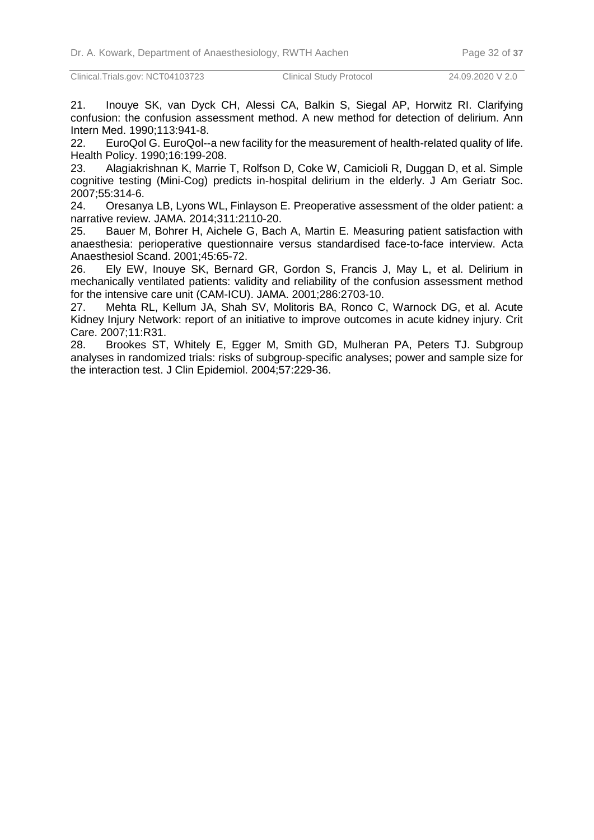<span id="page-31-0"></span>21. Inouye SK, van Dyck CH, Alessi CA, Balkin S, Siegal AP, Horwitz RI. Clarifying confusion: the confusion assessment method. A new method for detection of delirium. Ann Intern Med. 1990;113:941-8.

<span id="page-31-1"></span>22. EuroQol G. EuroQol--a new facility for the measurement of health-related quality of life. Health Policy. 1990;16:199-208.

<span id="page-31-2"></span>23. Alagiakrishnan K, Marrie T, Rolfson D, Coke W, Camicioli R, Duggan D, et al. Simple cognitive testing (Mini-Cog) predicts in-hospital delirium in the elderly. J Am Geriatr Soc. 2007;55:314-6.

<span id="page-31-3"></span>24. Oresanya LB, Lyons WL, Finlayson E. Preoperative assessment of the older patient: a narrative review. JAMA. 2014;311:2110-20.

<span id="page-31-4"></span>25. Bauer M, Bohrer H, Aichele G, Bach A, Martin E. Measuring patient satisfaction with anaesthesia: perioperative questionnaire versus standardised face-to-face interview. Acta Anaesthesiol Scand. 2001;45:65-72.

<span id="page-31-5"></span>26. Ely EW, Inouye SK, Bernard GR, Gordon S, Francis J, May L, et al. Delirium in mechanically ventilated patients: validity and reliability of the confusion assessment method for the intensive care unit (CAM-ICU). JAMA. 2001;286:2703-10.

<span id="page-31-6"></span>27. Mehta RL, Kellum JA, Shah SV, Molitoris BA, Ronco C, Warnock DG, et al. Acute Kidney Injury Network: report of an initiative to improve outcomes in acute kidney injury. Crit Care. 2007;11:R31.

<span id="page-31-7"></span>28. Brookes ST, Whitely E, Egger M, Smith GD, Mulheran PA, Peters TJ. Subgroup analyses in randomized trials: risks of subgroup-specific analyses; power and sample size for the interaction test. J Clin Epidemiol. 2004;57:229-36.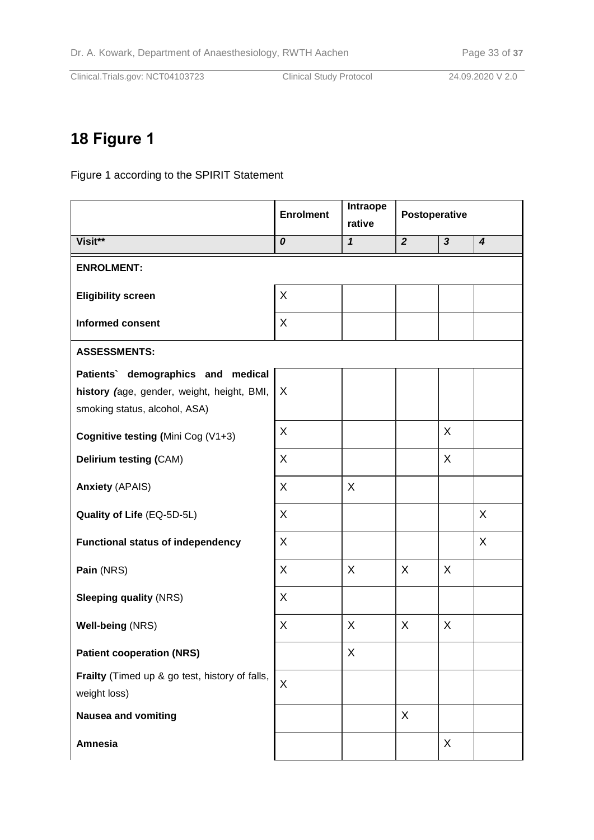# **18 Figure 1**

Figure 1 according to the SPIRIT Statement

|                                                                                                                   | <b>Enrolment</b> | Intraope<br>rative | Postoperative  |                         |                  |  |  |  |
|-------------------------------------------------------------------------------------------------------------------|------------------|--------------------|----------------|-------------------------|------------------|--|--|--|
| Visit**                                                                                                           | 0                | $\mathbf{1}$       | $\overline{2}$ | $\overline{\mathbf{3}}$ | $\boldsymbol{4}$ |  |  |  |
| <b>ENROLMENT:</b>                                                                                                 |                  |                    |                |                         |                  |  |  |  |
| <b>Eligibility screen</b>                                                                                         | X                |                    |                |                         |                  |  |  |  |
| <b>Informed consent</b>                                                                                           | X                |                    |                |                         |                  |  |  |  |
| <b>ASSESSMENTS:</b>                                                                                               |                  |                    |                |                         |                  |  |  |  |
| Patients' demographics and medical<br>history (age, gender, weight, height, BMI,<br>smoking status, alcohol, ASA) | X                |                    |                |                         |                  |  |  |  |
| Cognitive testing (Mini Cog (V1+3)                                                                                | X                |                    |                | X                       |                  |  |  |  |
| Delirium testing (CAM)                                                                                            | X                |                    |                | X                       |                  |  |  |  |
| <b>Anxiety (APAIS)</b>                                                                                            | X                | X                  |                |                         |                  |  |  |  |
| Quality of Life (EQ-5D-5L)                                                                                        | X                |                    |                |                         | X                |  |  |  |
| <b>Functional status of independency</b>                                                                          | X                |                    |                |                         | X                |  |  |  |
| Pain (NRS)                                                                                                        | X                | $\mathsf{X}$       | X              | X                       |                  |  |  |  |
| <b>Sleeping quality (NRS)</b>                                                                                     | X                |                    |                |                         |                  |  |  |  |
| Well-being (NRS)                                                                                                  | X                | X                  | X              | X                       |                  |  |  |  |
| <b>Patient cooperation (NRS)</b>                                                                                  |                  | X                  |                |                         |                  |  |  |  |
| Frailty (Timed up & go test, history of falls,<br>weight loss)                                                    | X                |                    |                |                         |                  |  |  |  |
| <b>Nausea and vomiting</b>                                                                                        |                  |                    | X              |                         |                  |  |  |  |
| <b>Amnesia</b>                                                                                                    |                  |                    |                | X                       |                  |  |  |  |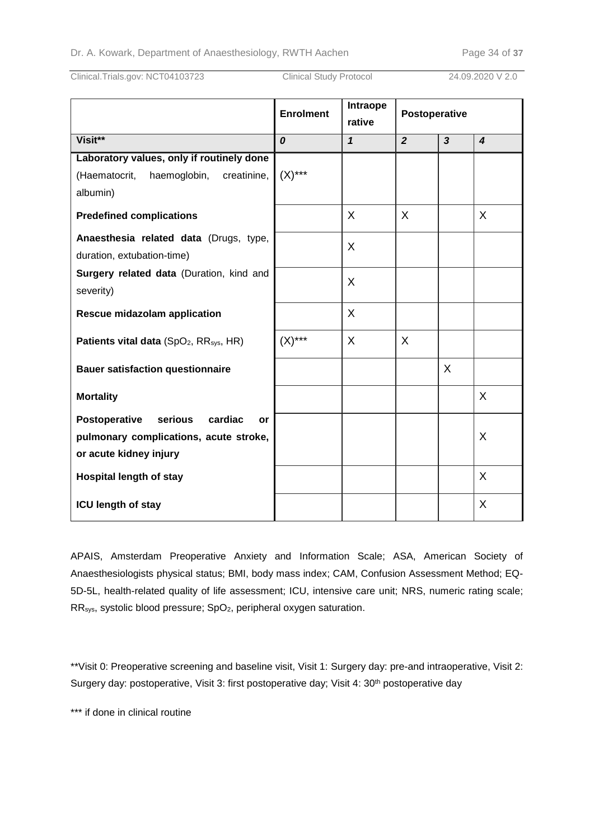|                                                                                                               | <b>Enrolment</b> | Intraope<br>rative | Postoperative  |                |                  |
|---------------------------------------------------------------------------------------------------------------|------------------|--------------------|----------------|----------------|------------------|
| Visit**                                                                                                       | 0                | $\mathbf{1}$       | $\overline{2}$ | $\overline{3}$ | $\boldsymbol{4}$ |
| Laboratory values, only if routinely done                                                                     |                  |                    |                |                |                  |
| (Haematocrit,<br>haemoglobin,<br>creatinine,                                                                  | $(X)$ ***        |                    |                |                |                  |
| albumin)                                                                                                      |                  |                    |                |                |                  |
| <b>Predefined complications</b>                                                                               |                  | X                  | X              |                | X                |
| Anaesthesia related data (Drugs, type,<br>duration, extubation-time)                                          |                  | X                  |                |                |                  |
| Surgery related data (Duration, kind and<br>severity)                                                         |                  | X                  |                |                |                  |
| Rescue midazolam application                                                                                  |                  | X                  |                |                |                  |
| Patients vital data (SpO <sub>2</sub> , RR <sub>sys</sub> , HR)                                               | $(X)$ ***        | X                  | X              |                |                  |
| <b>Bauer satisfaction questionnaire</b>                                                                       |                  |                    |                | X              |                  |
| <b>Mortality</b>                                                                                              |                  |                    |                |                | X                |
| Postoperative<br>serious<br>cardiac<br>or<br>pulmonary complications, acute stroke,<br>or acute kidney injury |                  |                    |                |                | X                |
| <b>Hospital length of stay</b>                                                                                |                  |                    |                |                | X                |
| <b>ICU length of stay</b>                                                                                     |                  |                    |                |                | X                |

APAIS, Amsterdam Preoperative Anxiety and Information Scale; ASA, American Society of Anaesthesiologists physical status; BMI, body mass index; CAM, Confusion Assessment Method; EQ-5D-5L, health-related quality of life assessment; ICU, intensive care unit; NRS, numeric rating scale; RRsys, systolic blood pressure; SpO2, peripheral oxygen saturation.

\*\*Visit 0: Preoperative screening and baseline visit, Visit 1: Surgery day: pre-and intraoperative, Visit 2: Surgery day: postoperative, Visit 3: first postoperative day; Visit 4: 30<sup>th</sup> postoperative day

\*\*\* if done in clinical routine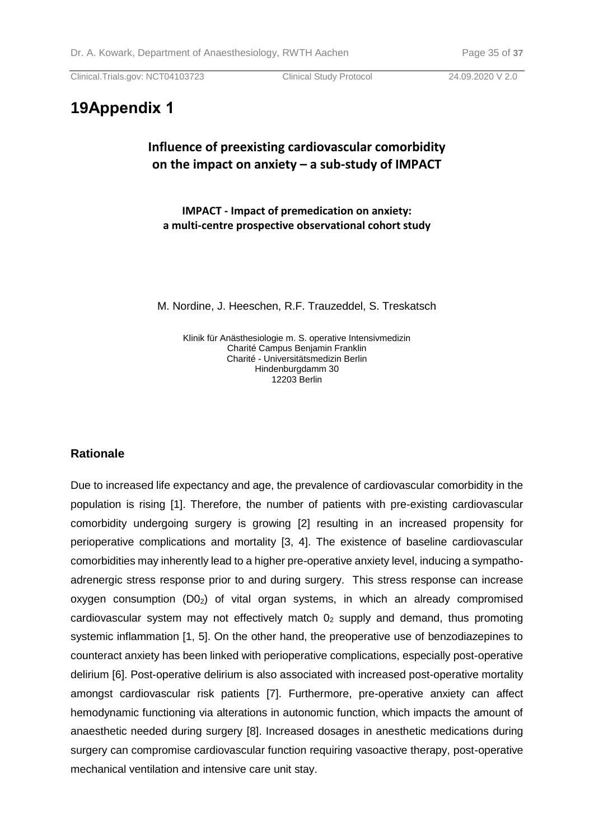## **19Appendix 1**

## **Influence of preexisting cardiovascular comorbidity on the impact on anxiety – a sub-study of IMPACT**

**IMPACT - Impact of premedication on anxiety: a multi-centre prospective observational cohort study**

M. Nordine, J. Heeschen, R.F. Trauzeddel, S. Treskatsch

Klinik für Anästhesiologie m. S. operative Intensivmedizin Charité Campus Benjamin Franklin Charité - Universitätsmedizin Berlin Hindenburgdamm 30 12203 Berlin

#### **Rationale**

Due to increased life expectancy and age, the prevalence of cardiovascular comorbidity in the population is rising [1]. Therefore, the number of patients with pre-existing cardiovascular comorbidity undergoing surgery is growing [2] resulting in an increased propensity for perioperative complications and mortality [3, 4]. The existence of baseline cardiovascular comorbidities may inherently lead to a higher pre-operative anxiety level, inducing a sympathoadrenergic stress response prior to and during surgery. This stress response can increase oxygen consumption  $(D_2)$  of vital organ systems, in which an already compromised cardiovascular system may not effectively match  $0<sub>2</sub>$  supply and demand, thus promoting systemic inflammation [1, 5]. On the other hand, the preoperative use of benzodiazepines to counteract anxiety has been linked with perioperative complications, especially post-operative delirium [6]. Post-operative delirium is also associated with increased post-operative mortality amongst cardiovascular risk patients [7]. Furthermore, pre-operative anxiety can affect hemodynamic functioning via alterations in autonomic function, which impacts the amount of anaesthetic needed during surgery [8]. Increased dosages in anesthetic medications during surgery can compromise cardiovascular function requiring vasoactive therapy, post-operative mechanical ventilation and intensive care unit stay.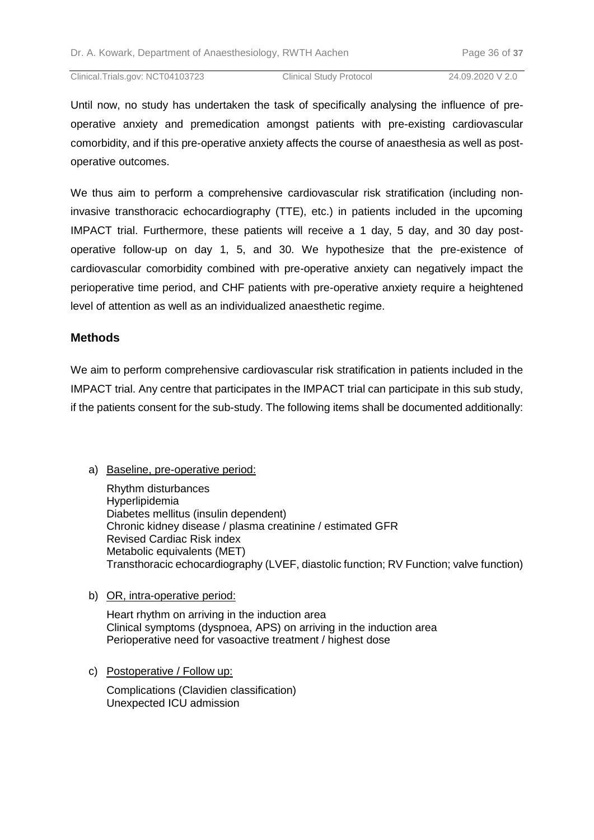Until now, no study has undertaken the task of specifically analysing the influence of preoperative anxiety and premedication amongst patients with pre-existing cardiovascular comorbidity, and if this pre-operative anxiety affects the course of anaesthesia as well as postoperative outcomes.

We thus aim to perform a comprehensive cardiovascular risk stratification (including noninvasive transthoracic echocardiography (TTE), etc.) in patients included in the upcoming IMPACT trial. Furthermore, these patients will receive a 1 day, 5 day, and 30 day postoperative follow-up on day 1, 5, and 30. We hypothesize that the pre-existence of cardiovascular comorbidity combined with pre-operative anxiety can negatively impact the perioperative time period, and CHF patients with pre-operative anxiety require a heightened level of attention as well as an individualized anaesthetic regime.

#### **Methods**

We aim to perform comprehensive cardiovascular risk stratification in patients included in the IMPACT trial. Any centre that participates in the IMPACT trial can participate in this sub study, if the patients consent for the sub-study. The following items shall be documented additionally:

a) Baseline, pre-operative period:

Rhythm disturbances Hyperlipidemia Diabetes mellitus (insulin dependent) Chronic kidney disease / plasma creatinine / estimated GFR Revised Cardiac Risk index Metabolic equivalents (MET) Transthoracic echocardiography (LVEF, diastolic function; RV Function; valve function)

b) OR, intra-operative period:

Heart rhythm on arriving in the induction area Clinical symptoms (dyspnoea, APS) on arriving in the induction area Perioperative need for vasoactive treatment / highest dose

c) Postoperative / Follow up:

Complications (Clavidien classification) Unexpected ICU admission